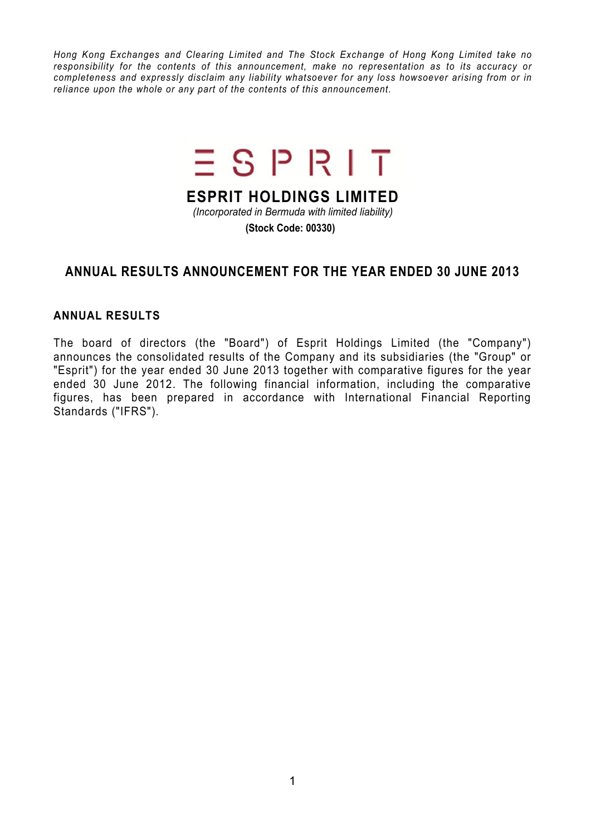*Hong Kong Exchanges and Clearing Limited and The Stock Exchange of Hong Kong Limited take no responsibility for the contents of this announcement, make no representation as to its accuracy or completeness and expressly disclaim any liability whatsoever for any loss howsoever arising from or in reliance upon the whole or any part of the contents of this announcement.* 



## **ESPRIT HOLDINGS LIMITED**

*(Incorporated in Bermuda with limited liability)*

**(Stock Code: 00330)**

## **ANNUAL RESULTS ANNOUNCEMENT FOR THE YEAR ENDED 30 JUNE 2013**

#### **ANNUAL RESULTS**

The board of directors (the "Board") of Esprit Holdings Limited (the "Company") announces the consolidated results of the Company and its subsidiaries (the "Group" or "Esprit") for the year ended 30 June 2013 together with comparative figures for the year ended 30 June 2012. The following financial information, including the comparative figures, has been prepared in accordance with International Financial Reporting Standards ("IFRS").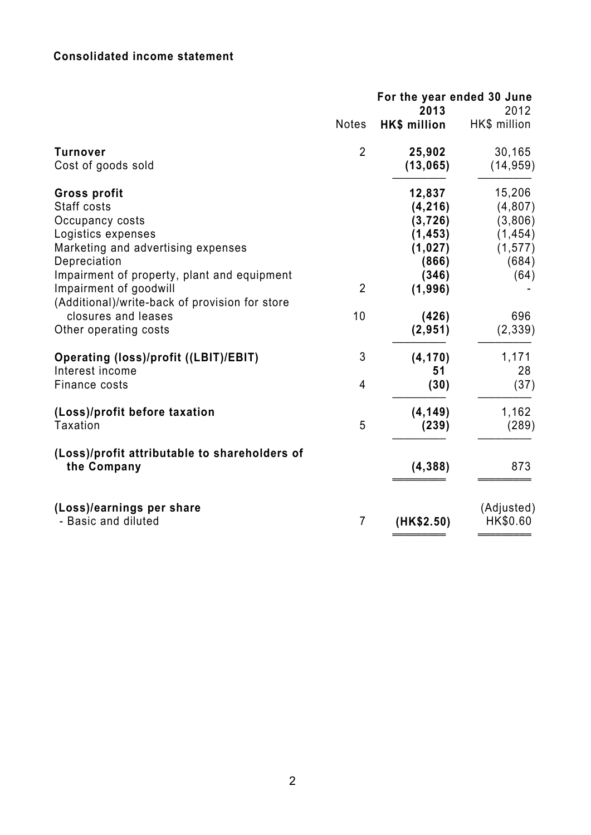## **Consolidated income statement**

|                                                                                                                                   |                | For the year ended 30 June<br>2013                              | 2012                                                          |
|-----------------------------------------------------------------------------------------------------------------------------------|----------------|-----------------------------------------------------------------|---------------------------------------------------------------|
|                                                                                                                                   | <b>Notes</b>   | HK\$ million                                                    | HK\$ million                                                  |
| <b>Turnover</b><br>Cost of goods sold                                                                                             | $\overline{2}$ | 25,902<br>(13,065)                                              | 30,165<br>(14, 959)                                           |
| <b>Gross profit</b><br>Staff costs<br>Occupancy costs<br>Logistics expenses<br>Marketing and advertising expenses<br>Depreciation |                | 12,837<br>(4, 216)<br>(3, 726)<br>(1, 453)<br>(1, 027)<br>(866) | 15,206<br>(4,807)<br>(3,806)<br>(1, 454)<br>(1, 577)<br>(684) |
| Impairment of property, plant and equipment<br>Impairment of goodwill<br>(Additional)/write-back of provision for store           | $\overline{2}$ | (346)<br>(1,996)                                                | (64)                                                          |
| closures and leases<br>Other operating costs                                                                                      | 10             | (426)<br>(2,951)                                                | 696<br>(2, 339)                                               |
| Operating (loss)/profit ((LBIT)/EBIT)<br>Interest income                                                                          | 3              | (4, 170)<br>51                                                  | 1,171<br>28                                                   |
| Finance costs                                                                                                                     | 4              | (30)                                                            | (37)                                                          |
| (Loss)/profit before taxation<br><b>Taxation</b>                                                                                  | 5              | (4, 149)<br>(239)                                               | 1,162<br>(289)                                                |
| (Loss)/profit attributable to shareholders of<br>the Company                                                                      |                | (4, 388)                                                        | 873                                                           |
| (Loss)/earnings per share<br>- Basic and diluted                                                                                  | $\overline{7}$ | (HK\$2.50)                                                      | (Adjusted)<br>HK\$0.60                                        |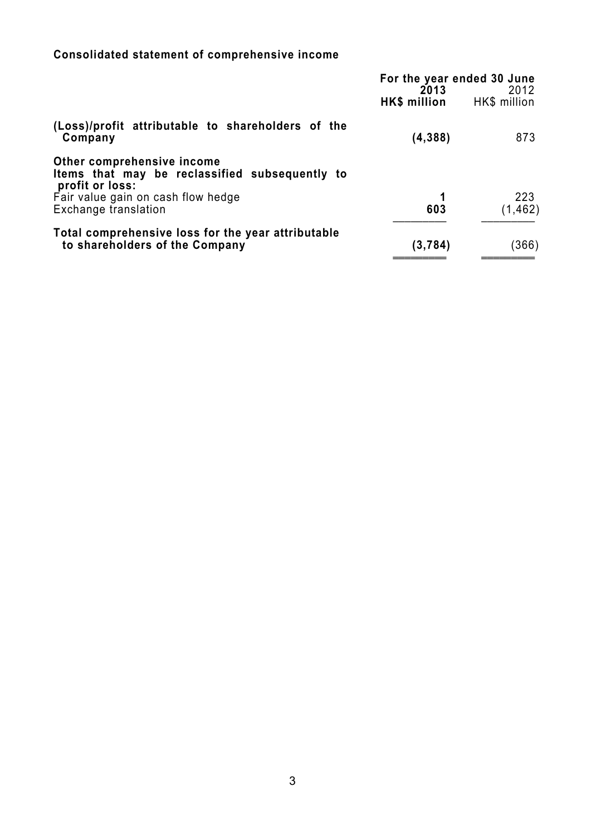# **Consolidated statement of comprehensive income**

|                                                                                                 | For the year ended 30 June<br>2013<br>2012 |                 |
|-------------------------------------------------------------------------------------------------|--------------------------------------------|-----------------|
|                                                                                                 | HK\$ million                               | HK\$ million    |
| (Loss)/profit attributable to shareholders of the<br>Company                                    | (4, 388)                                   | 873             |
| Other comprehensive income<br>Items that may be reclassified subsequently to<br>profit or loss: |                                            |                 |
| Fair value gain on cash flow hedge<br>Exchange translation                                      | 603                                        | 223<br>(1, 462) |
| Total comprehensive loss for the year attributable<br>to shareholders of the Company            | (3, 784)                                   | (366)           |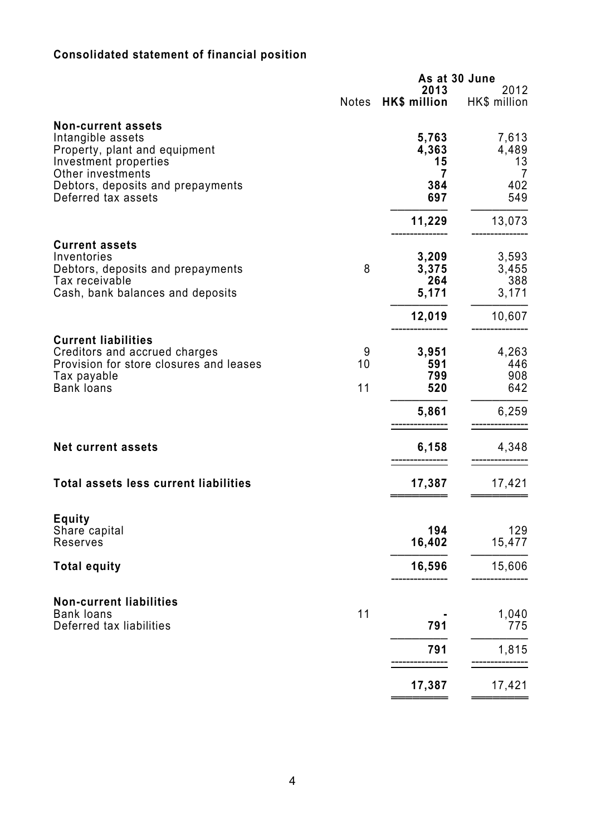# **Consolidated statement of financial position**

|                                                                                                                                                                    | As at 30 June |                                  |                                               |
|--------------------------------------------------------------------------------------------------------------------------------------------------------------------|---------------|----------------------------------|-----------------------------------------------|
|                                                                                                                                                                    | <b>Notes</b>  | 2013<br>HK\$ million             | 2012<br>HK\$ million                          |
| <b>Non-current assets</b><br>Intangible assets<br>Property, plant and equipment<br>Investment properties<br>Other investments<br>Debtors, deposits and prepayments |               | 5,763<br>4,363<br>15<br>7<br>384 | 7,613<br>4,489<br>13<br>$\overline{7}$<br>402 |
| Deferred tax assets                                                                                                                                                |               | 697                              | 549                                           |
|                                                                                                                                                                    |               | 11,229                           | 13,073                                        |
| <b>Current assets</b><br>Inventories<br>Debtors, deposits and prepayments<br>Tax receivable<br>Cash, bank balances and deposits                                    | 8             | 3,209<br>3,375<br>264<br>5,171   | 3,593<br>3,455<br>388<br>3,171                |
|                                                                                                                                                                    |               | 12,019                           | 10,607                                        |
| <b>Current liabilities</b><br>Creditors and accrued charges<br>Provision for store closures and leases<br>Tax payable<br><b>Bank loans</b>                         | 9<br>10<br>11 | 3,951<br>591<br>799<br>520       | 4,263<br>446<br>908<br>642                    |
|                                                                                                                                                                    |               | 5,861                            | 6,259                                         |
| <b>Net current assets</b>                                                                                                                                          |               | 6,158                            | 4,348                                         |
| <b>Total assets less current liabilities</b>                                                                                                                       |               | 17,387                           | 17,421                                        |
|                                                                                                                                                                    |               |                                  |                                               |
| <b>Equity</b><br>Share capital<br>Reserves                                                                                                                         |               | 194<br>16,402                    | 129<br>15,477                                 |
| <b>Total equity</b>                                                                                                                                                |               | 16,596                           | 15,606                                        |
| <b>Non-current liabilities</b><br><b>Bank loans</b><br>Deferred tax liabilities                                                                                    | 11            | 791                              | 1,040<br>775                                  |
|                                                                                                                                                                    |               | 791                              | 1,815                                         |
|                                                                                                                                                                    |               | 17,387                           | 17,421                                        |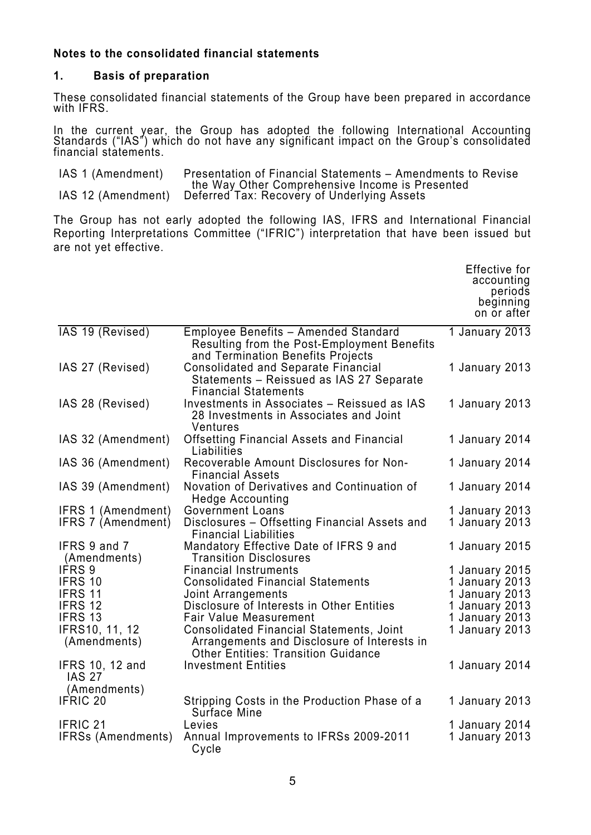#### **Notes to the consolidated financial statements**

#### **1. Basis of preparation**

These consolidated financial statements of the Group have been prepared in accordance with IFRS.

In the current year, the Group has adopted the following International Accounting Standards ("IAS") which do not have any significant impact on the Group's consolidated financial statements.

| IAS 1 (Amendment) | Presentation of Financial Statements – Amendments to Revise    |
|-------------------|----------------------------------------------------------------|
|                   | the Way Other Comprehensive Income is Presented                |
|                   | IAS 12 (Amendment) Deferred Tax: Recovery of Underlying Assets |

The Group has not early adopted the following IAS, IFRS and International Financial Reporting Interpretations Committee ("IFRIC") interpretation that have been issued but are not yet effective.

|                                                         |                                                                                                                                              | <b>Effective for</b><br>accounting<br>periods<br>beginning<br>on or after |
|---------------------------------------------------------|----------------------------------------------------------------------------------------------------------------------------------------------|---------------------------------------------------------------------------|
| IAS 19 (Revised)                                        | <b>Employee Benefits - Amended Standard</b><br>Resulting from the Post-Employment Benefits<br>and Termination Benefits Projects              | 1 January 2013                                                            |
| IAS 27 (Revised)                                        | <b>Consolidated and Separate Financial</b><br>Statements - Reissued as IAS 27 Separate<br><b>Financial Statements</b>                        | 1 January 2013                                                            |
| IAS 28 (Revised)                                        | Investments in Associates - Reissued as IAS<br>28 Investments in Associates and Joint<br>Ventures                                            | 1 January 2013                                                            |
| IAS 32 (Amendment)                                      | <b>Offsetting Financial Assets and Financial</b><br>Liabilities                                                                              | 1 January 2014                                                            |
| IAS 36 (Amendment)                                      | Recoverable Amount Disclosures for Non-<br><b>Financial Assets</b>                                                                           | 1 January 2014                                                            |
| IAS 39 (Amendment)                                      | Novation of Derivatives and Continuation of<br><b>Hedge Accounting</b>                                                                       | 1 January 2014                                                            |
| IFRS 1 (Amendment)<br>IFRS 7 (Amendment)                | <b>Government Loans</b><br>Disclosures - Offsetting Financial Assets and<br><b>Financial Liabilities</b>                                     | 1 January 2013<br>1 January 2013                                          |
| IFRS 9 and 7<br>(Amendments)                            | Mandatory Effective Date of IFRS 9 and<br><b>Transition Disclosures</b>                                                                      | 1 January 2015                                                            |
| IFRS 9                                                  | <b>Financial Instruments</b>                                                                                                                 | 1 January 2015                                                            |
| IFRS 10                                                 | <b>Consolidated Financial Statements</b>                                                                                                     | 1 January 2013                                                            |
| IFRS 11                                                 | <b>Joint Arrangements</b>                                                                                                                    | 1 January 2013                                                            |
| IFRS 12                                                 | Disclosure of Interests in Other Entities                                                                                                    | 1 January 2013                                                            |
| IFRS 13                                                 | <b>Fair Value Measurement</b>                                                                                                                | 1 January 2013                                                            |
| IFRS10, 11, 12<br>(Amendments)                          | <b>Consolidated Financial Statements, Joint</b><br>Arrangements and Disclosure of Interests in<br><b>Other Entities: Transition Guidance</b> | 1 January 2013                                                            |
| <b>IFRS 10, 12 and</b><br><b>IAS 27</b><br>(Amendments) | <b>Investment Entities</b>                                                                                                                   | 1 January 2014                                                            |
| IFRIC 20                                                | Stripping Costs in the Production Phase of a<br>Surface Mine                                                                                 | 1 January 2013                                                            |
| IFRIC 21                                                | Levies                                                                                                                                       | 1 January 2014                                                            |
| IFRSs (Amendments)                                      | Annual Improvements to IFRSs 2009-2011<br>Cycle                                                                                              | 1 January 2013                                                            |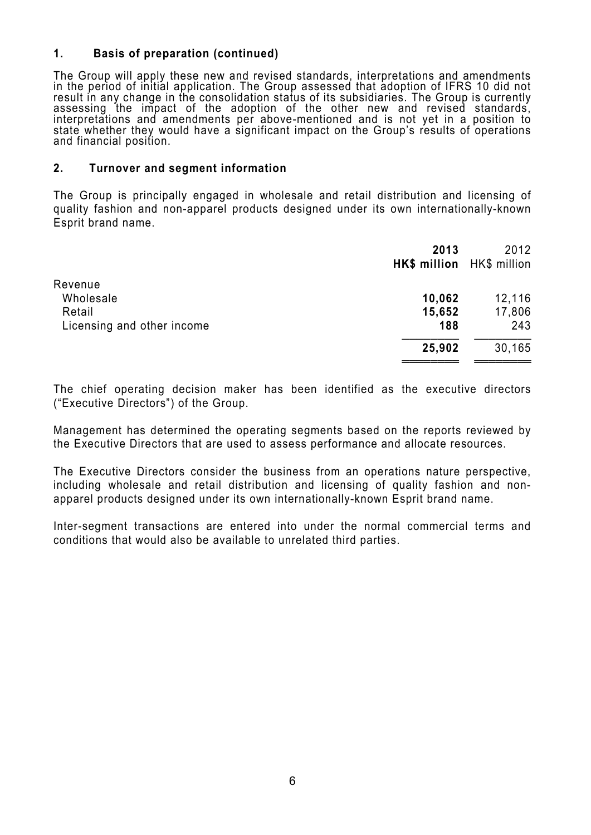#### **1. Basis of preparation (continued)**

The Group will apply these new and revised standards, interpretations and amendments in the period of initial application. The Group assessed that adoption of IFRS 10 did not result in any change in the consolidation status of its subsidiaries. The Group is currently<br>assessing the impact of the adoption of the other new and revised standards, interpretations and amendments per above-mentioned and is not yet in a position to state whether they would have a significant impact on the Group's results of operations and financial position.

#### **2. Turnover and segment information**

The Group is principally engaged in wholesale and retail distribution and licensing of quality fashion and non-apparel products designed under its own internationally-known Esprit brand name.

|                            | 2013<br>HK\$ million HK\$ million | 2012   |
|----------------------------|-----------------------------------|--------|
| Revenue                    |                                   |        |
| Wholesale                  | 10,062                            | 12,116 |
| Retail                     | 15,652                            | 17,806 |
| Licensing and other income | 188                               | 243    |
|                            | 25,902                            | 30,165 |
|                            |                                   |        |

The chief operating decision maker has been identified as the executive directors ("Executive Directors") of the Group.

Management has determined the operating segments based on the reports reviewed by the Executive Directors that are used to assess performance and allocate resources.

The Executive Directors consider the business from an operations nature perspective, including wholesale and retail distribution and licensing of quality fashion and nonapparel products designed under its own internationally-known Esprit brand name.

Inter-segment transactions are entered into under the normal commercial terms and conditions that would also be available to unrelated third parties.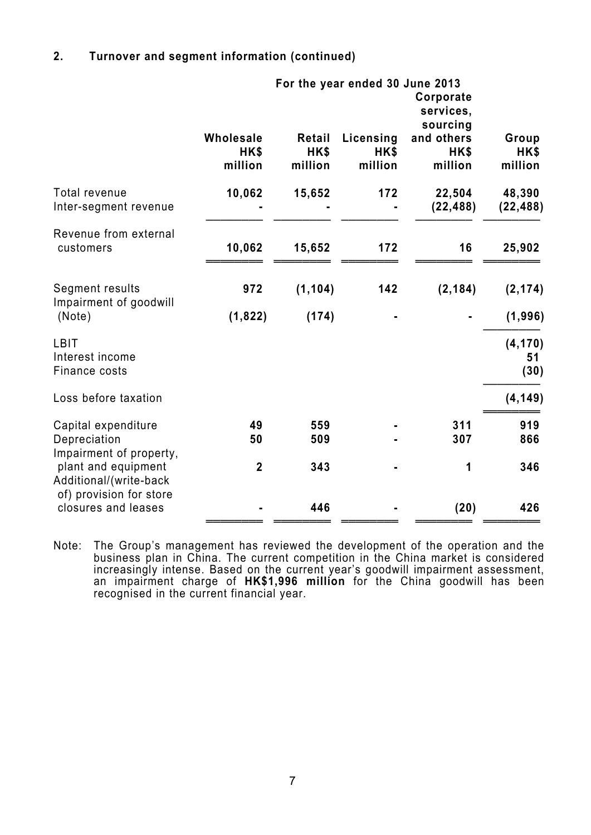## **2. Turnover and segment information (continued)**

|                                                                          |                              |                           | For the year ended 30 June 2013 |                                    |                          |
|--------------------------------------------------------------------------|------------------------------|---------------------------|---------------------------------|------------------------------------|--------------------------|
|                                                                          |                              |                           |                                 | Corporate<br>services,<br>sourcing |                          |
|                                                                          | Wholesale<br>HK\$<br>million | Retail<br>HK\$<br>million | Licensing<br>HK\$<br>million    | and others<br>HK\$<br>million      | Group<br>HK\$<br>million |
| Total revenue<br>Inter-segment revenue                                   | 10,062                       | 15,652                    | 172                             | 22,504<br>(22, 488)                | 48,390<br>(22, 488)      |
| Revenue from external<br>customers                                       | 10,062                       | 15,652                    | 172                             | 16                                 | 25,902                   |
| Segment results<br>Impairment of goodwill                                | 972                          | (1, 104)                  | 142                             | (2, 184)                           | (2, 174)                 |
| (Note)                                                                   | (1, 822)                     | (174)                     |                                 |                                    | (1, 996)                 |
| LBIT<br>Interest income<br>Finance costs                                 |                              |                           |                                 |                                    | (4, 170)<br>51<br>(30)   |
| Loss before taxation                                                     |                              |                           |                                 |                                    | (4, 149)                 |
| Capital expenditure<br>Depreciation<br>Impairment of property,           | 49<br>50                     | 559<br>509                |                                 | 311<br>307                         | 919<br>866               |
| plant and equipment<br>Additional/(write-back<br>of) provision for store | $\overline{2}$               | 343                       |                                 | 1                                  | 346                      |
| closures and leases                                                      |                              | 446                       |                                 | (20)                               | 426                      |

Note: The Group's management has reviewed the development of the operation and the business plan in China. The current competition in the China market is considered increasingly intense. Based on the current year's goodwill impairment assessment, an impairment charge of **HK\$1,996 million** for the China goodwill has been recognised in the current financial year.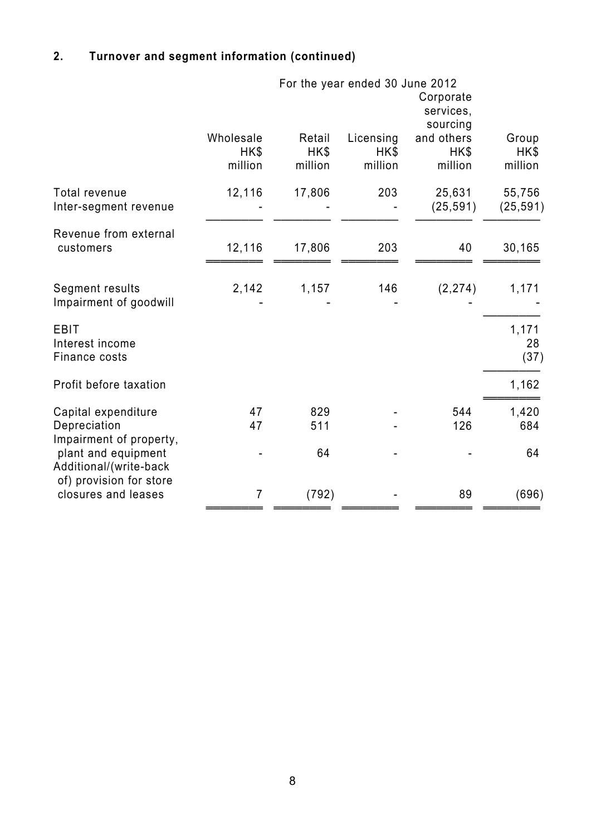# **2. Turnover and segment information (continued)**

|                                                                          |                              |                           | For the year ended 30 June 2012 |                               |                          |
|--------------------------------------------------------------------------|------------------------------|---------------------------|---------------------------------|-------------------------------|--------------------------|
|                                                                          |                              |                           |                                 | Corporate                     |                          |
|                                                                          |                              |                           |                                 | services,<br>sourcing         |                          |
|                                                                          | Wholesale<br>HK\$<br>million | Retail<br>HK\$<br>million | Licensing<br>HK\$<br>million    | and others<br>HK\$<br>million | Group<br>HK\$<br>million |
| Total revenue<br>Inter-segment revenue                                   | 12,116                       | 17,806                    | 203                             | 25,631<br>(25, 591)           | 55,756<br>(25, 591)      |
| Revenue from external<br>customers                                       | 12,116                       | 17,806                    | 203                             | 40                            | 30,165                   |
| Segment results<br>Impairment of goodwill                                | 2,142                        | 1,157                     | 146                             | (2, 274)                      | 1,171                    |
| <b>EBIT</b><br>Interest income<br>Finance costs                          |                              |                           |                                 |                               | 1,171<br>28<br>(37)      |
| Profit before taxation                                                   |                              |                           |                                 |                               | 1,162                    |
| Capital expenditure<br>Depreciation<br>Impairment of property,           | 47<br>47                     | 829<br>511                |                                 | 544<br>126                    | 1,420<br>684             |
| plant and equipment<br>Additional/(write-back<br>of) provision for store |                              | 64                        |                                 |                               | 64                       |
| closures and leases                                                      | 7                            | (792)                     |                                 | 89                            | (696)                    |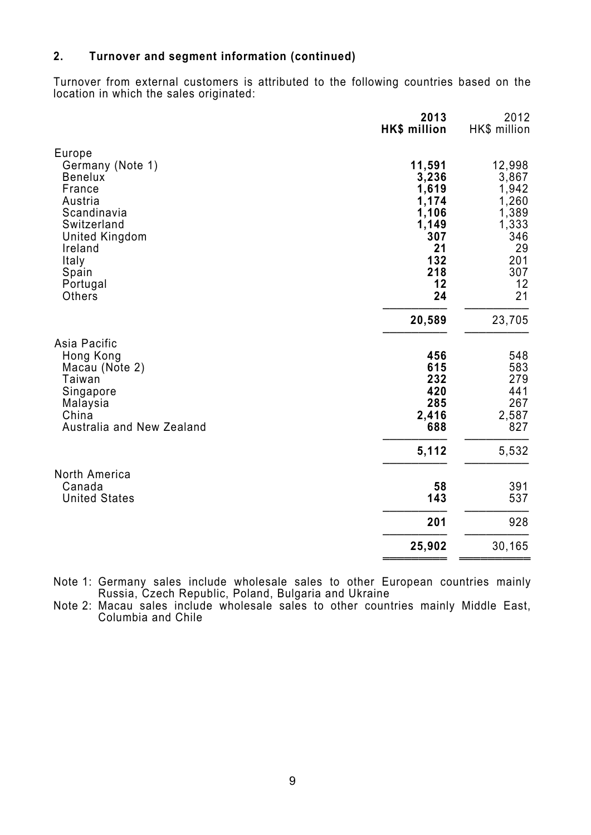## **2. Turnover and segment information (continued)**

Turnover from external customers is attributed to the following countries based on the location in which the sales originated:

|                                                                                                                      | 2013<br>HK\$ million                            | 2012<br>HK\$ million                            |
|----------------------------------------------------------------------------------------------------------------------|-------------------------------------------------|-------------------------------------------------|
| Europe<br>Germany (Note 1)<br><b>Benelux</b><br>France                                                               | 11,591<br>3,236<br>1,619                        | 12,998<br>3,867<br>1,942                        |
| Austria<br>Scandinavia<br>Switzerland<br><b>United Kingdom</b><br>Ireland<br>Italy                                   | 1,174<br>1,106<br>1,149<br>307<br>21<br>132     | 1,260<br>1,389<br>1,333<br>346<br>29<br>201     |
| Spain<br>Portugal<br>Others                                                                                          | 218<br>12<br>24                                 | 307<br>12<br>21                                 |
|                                                                                                                      | 20,589                                          | 23,705                                          |
| Asia Pacific<br>Hong Kong<br>Macau (Note 2)<br>Taiwan<br>Singapore<br>Malaysia<br>China<br>Australia and New Zealand | 456<br>615<br>232<br>420<br>285<br>2,416<br>688 | 548<br>583<br>279<br>441<br>267<br>2,587<br>827 |
|                                                                                                                      | 5,112                                           | 5,532                                           |
| North America<br>Canada<br><b>United States</b>                                                                      | 58<br>143                                       | 391<br>537                                      |
|                                                                                                                      | 201                                             | 928                                             |
|                                                                                                                      | 25,902                                          | 30,165                                          |
|                                                                                                                      |                                                 |                                                 |

Note 1: Germany sales include wholesale sales to other European countries mainly Russia, Czech Republic, Poland, Bulgaria and Ukraine

Note 2: Macau sales include wholesale sales to other countries mainly Middle East, Columbia and Chile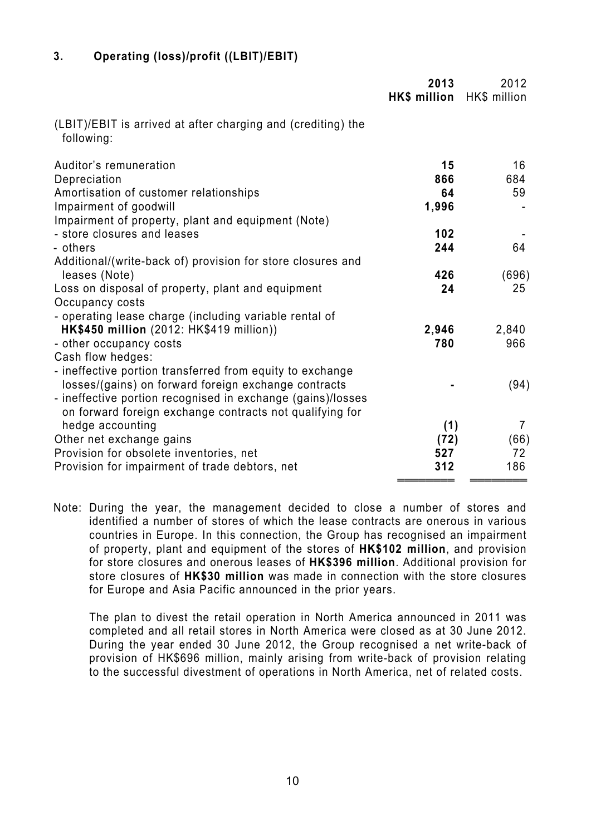# **3. Operating (loss)/profit ((LBIT)/EBIT)**

|                                                                            | 2013<br><b>HK\$</b> million | 2012<br>HK\$ million |
|----------------------------------------------------------------------------|-----------------------------|----------------------|
| (LBIT)/EBIT is arrived at after charging and (crediting) the<br>following: |                             |                      |
| Auditor's remuneration                                                     | 15                          | 16                   |
| Depreciation                                                               | 866                         | 684                  |
| Amortisation of customer relationships                                     | 64                          | 59                   |
| Impairment of goodwill                                                     | 1,996                       |                      |
| Impairment of property, plant and equipment (Note)                         |                             |                      |
| - store closures and leases                                                | 102                         |                      |
| - others                                                                   | 244                         | 64                   |
| Additional/(write-back of) provision for store closures and                |                             |                      |
| leases (Note)                                                              | 426                         | (696)                |
| Loss on disposal of property, plant and equipment                          | 24                          | 25                   |
| Occupancy costs                                                            |                             |                      |
| - operating lease charge (including variable rental of                     |                             |                      |
| HK\$450 million (2012: HK\$419 million))                                   | 2,946                       | 2,840                |
| - other occupancy costs                                                    | 780                         | 966                  |
| Cash flow hedges:                                                          |                             |                      |
| - ineffective portion transferred from equity to exchange                  |                             |                      |
| losses/(gains) on forward foreign exchange contracts                       |                             | (94)                 |
| - ineffective portion recognised in exchange (gains)/losses                |                             |                      |
| on forward foreign exchange contracts not qualifying for                   |                             |                      |
| hedge accounting                                                           | (1)                         | $\overline{7}$       |
| Other net exchange gains                                                   | (72)                        | (66)                 |
| Provision for obsolete inventories, net                                    | 527                         | 72                   |
| Provision for impairment of trade debtors, net                             | 312                         | 186                  |
|                                                                            |                             |                      |

Note: During the year, the management decided to close a number of stores and identified a number of stores of which the lease contracts are onerous in various countries in Europe. In this connection, the Group has recognised an impairment of property, plant and equipment of the stores of **HK\$102 million**, and provision for store closures and onerous leases of **HK\$396 million**. Additional provision for store closures of **HK\$30 million** was made in connection with the store closures for Europe and Asia Pacific announced in the prior years.

The plan to divest the retail operation in North America announced in 2011 was completed and all retail stores in North America were closed as at 30 June 2012. During the year ended 30 June 2012, the Group recognised a net write-back of provision of HK\$696 million, mainly arising from write-back of provision relating to the successful divestment of operations in North America, net of related costs.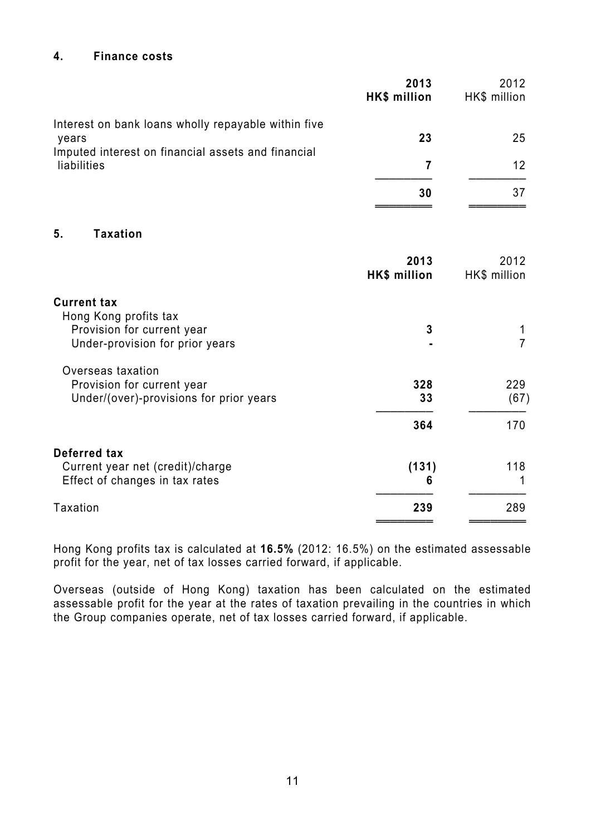#### **4. Finance costs**

|                                                                                                                    | 2013<br><b>HK\$ million</b> | 2012<br>HK\$ million |
|--------------------------------------------------------------------------------------------------------------------|-----------------------------|----------------------|
| Interest on bank loans wholly repayable within five<br>years<br>Imputed interest on financial assets and financial | 23                          | 25                   |
| liabilities                                                                                                        | $\overline{7}$              | 12                   |
|                                                                                                                    | 30                          | 37                   |
| <b>Taxation</b><br>5.                                                                                              |                             |                      |
|                                                                                                                    | 2013<br><b>HK\$ million</b> | 2012<br>HK\$ million |
| <b>Current tax</b><br>Hong Kong profits tax<br>Provision for current year<br>Under-provision for prior years       | 3                           | -1<br>$\overline{7}$ |
| Overseas taxation<br>Provision for current year<br>Under/(over)-provisions for prior years                         | 328<br>33                   | 229<br>(67)          |
|                                                                                                                    | 364                         | 170                  |
| <b>Deferred tax</b><br>Current year net (credit)/charge<br>Effect of changes in tax rates                          | (131)<br>6                  | 118<br>1             |
| <b>Taxation</b>                                                                                                    | 239                         | 289                  |

Hong Kong profits tax is calculated at **16.5%** (2012: 16.5%) on the estimated assessable profit for the year, net of tax losses carried forward, if applicable.

Overseas (outside of Hong Kong) taxation has been calculated on the estimated assessable profit for the year at the rates of taxation prevailing in the countries in which the Group companies operate, net of tax losses carried forward, if applicable.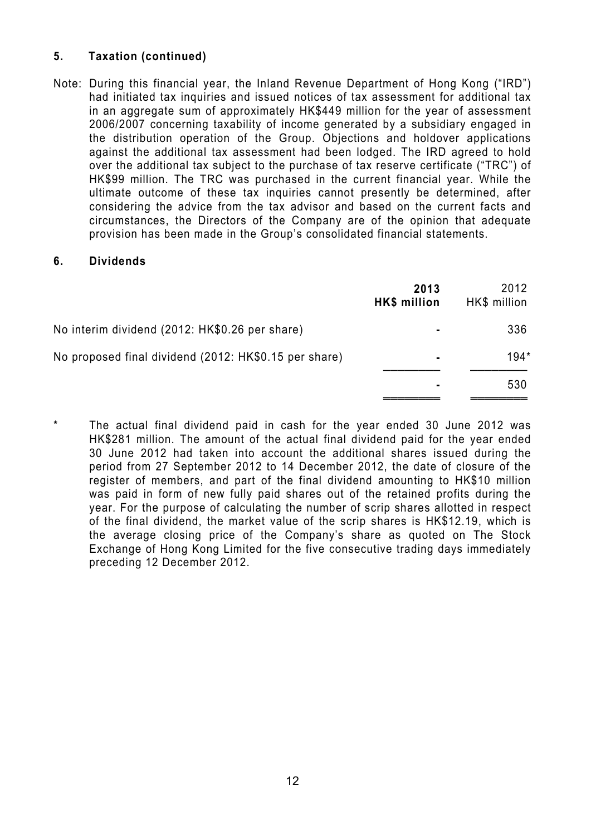## **5. Taxation (continued)**

Note: During this financial year, the Inland Revenue Department of Hong Kong ("IRD") had initiated tax inquiries and issued notices of tax assessment for additional tax in an aggregate sum of approximately HK\$449 million for the year of assessment 2006/2007 concerning taxability of income generated by a subsidiary engaged in the distribution operation of the Group. Objections and holdover applications against the additional tax assessment had been lodged. The IRD agreed to hold over the additional tax subject to the purchase of tax reserve certificate ("TRC") of HK\$99 million. The TRC was purchased in the current financial year. While the ultimate outcome of these tax inquiries cannot presently be determined, after considering the advice from the tax advisor and based on the current facts and circumstances, the Directors of the Company are of the opinion that adequate provision has been made in the Group's consolidated financial statements.

#### **6. Dividends**

|                                                       | 2013<br>HK\$ million | 2012<br>HK\$ million |
|-------------------------------------------------------|----------------------|----------------------|
| No interim dividend (2012: HK\$0.26 per share)        | ٠                    | 336                  |
| No proposed final dividend (2012: HK\$0.15 per share) | $\blacksquare$       | $194*$               |
|                                                       | $\blacksquare$       | 530                  |

The actual final dividend paid in cash for the year ended 30 June 2012 was HK\$281 million. The amount of the actual final dividend paid for the year ended 30 June 2012 had taken into account the additional shares issued during the period from 27 September 2012 to 14 December 2012, the date of closure of the register of members, and part of the final dividend amounting to HK\$10 million was paid in form of new fully paid shares out of the retained profits during the year. For the purpose of calculating the number of scrip shares allotted in respect of the final dividend, the market value of the scrip shares is HK\$12.19, which is the average closing price of the Company's share as quoted on The Stock Exchange of Hong Kong Limited for the five consecutive trading days immediately preceding 12 December 2012.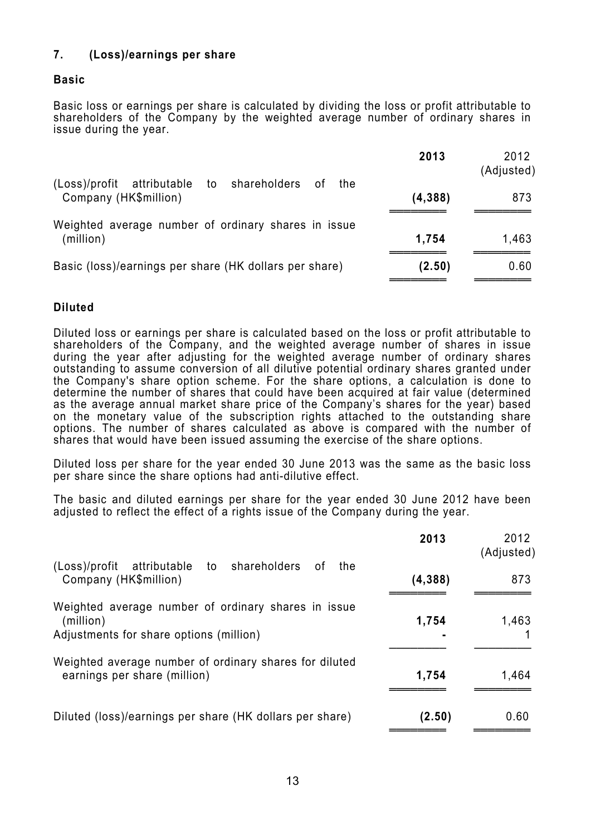## **7. (Loss)/earnings per share**

#### **Basic**

Basic loss or earnings per share is calculated by dividing the loss or profit attributable to shareholders of the Company by the weighted average number of ordinary shares in issue during the year.

|                                                                                     | 2013    | 2012<br>(Adjusted) |
|-------------------------------------------------------------------------------------|---------|--------------------|
| attributable to shareholders<br>(Loss)/profit<br>0f<br>the<br>Company (HK\$million) | (4,388) | 873                |
| Weighted average number of ordinary shares in issue<br>(million)                    | 1,754   | 1,463              |
| Basic (loss)/earnings per share (HK dollars per share)                              | (2.50)  | 0.60               |

#### **Diluted**

Diluted loss or earnings per share is calculated based on the loss or profit attributable to shareholders of the Company, and the weighted average number of shares in issue during the year after adjusting for the weighted average number of ordinary shares outstanding to assume conversion of all dilutive potential ordinary shares granted under the Company's share option scheme. For the share options, a calculation is done to determine the number of shares that could have been acquired at fair value (determined as the average annual market share price of the Company's shares for the year) based on the monetary value of the subscription rights attached to the outstanding share options. The number of shares calculated as above is compared with the number of shares that would have been issued assuming the exercise of the share options.

Diluted loss per share for the year ended 30 June 2013 was the same as the basic loss per share since the share options had anti-dilutive effect.

The basic and diluted earnings per share for the year ended 30 June 2012 have been adjusted to reflect the effect of a rights issue of the Company during the year.

|                                                                                                             | 2013     | 2012<br>(Adjusted) |
|-------------------------------------------------------------------------------------------------------------|----------|--------------------|
| shareholders<br>attributable<br>to<br>(Loss)/profit<br>οf<br>the<br>Company (HK\$million)                   | (4, 388) | 873                |
| Weighted average number of ordinary shares in issue<br>(million)<br>Adjustments for share options (million) | 1,754    | 1,463              |
| Weighted average number of ordinary shares for diluted<br>earnings per share (million)                      | 1,754    | 1,464              |
| Diluted (loss)/earnings per share (HK dollars per share)                                                    | (2.50)   | 0.60               |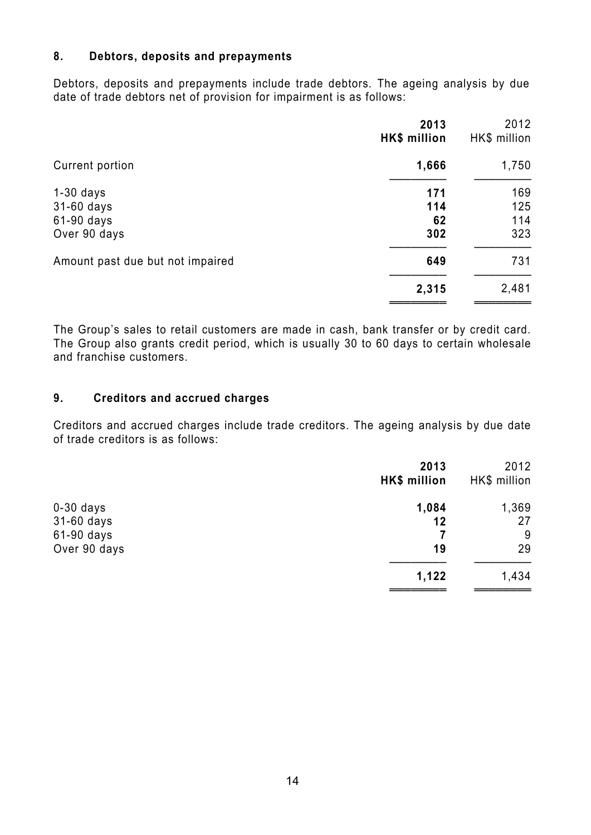#### **8. Debtors, deposits and prepayments**

Debtors, deposits and prepayments include trade debtors. The ageing analysis by due date of trade debtors net of provision for impairment is as follows:

|                                  | 2013<br>HK\$ million | 2012<br>HK\$ million |
|----------------------------------|----------------------|----------------------|
| Current portion                  | 1,666                | 1,750                |
| $1-30$ days                      | 171                  | 169                  |
| 31-60 days                       | 114                  | 125                  |
| 61-90 days                       | 62                   | 114                  |
| Over 90 days                     | 302                  | 323                  |
| Amount past due but not impaired | 649                  | 731                  |
|                                  | 2,315                | 2,481                |
|                                  |                      |                      |

The Group's sales to retail customers are made in cash, bank transfer or by credit card. The Group also grants credit period, which is usually 30 to 60 days to certain wholesale and franchise customers.

## **9. Creditors and accrued charges**

Creditors and accrued charges include trade creditors. The ageing analysis by due date of trade creditors is as follows:

|              | 2013<br>HK\$ million | 2012<br>HK\$ million |
|--------------|----------------------|----------------------|
| $0-30$ days  | 1,084                | 1,369                |
| 31-60 days   | 12                   | 27                   |
| 61-90 days   |                      | 9                    |
| Over 90 days | 19                   | 29                   |
|              | 1,122                | 1,434                |
|              |                      |                      |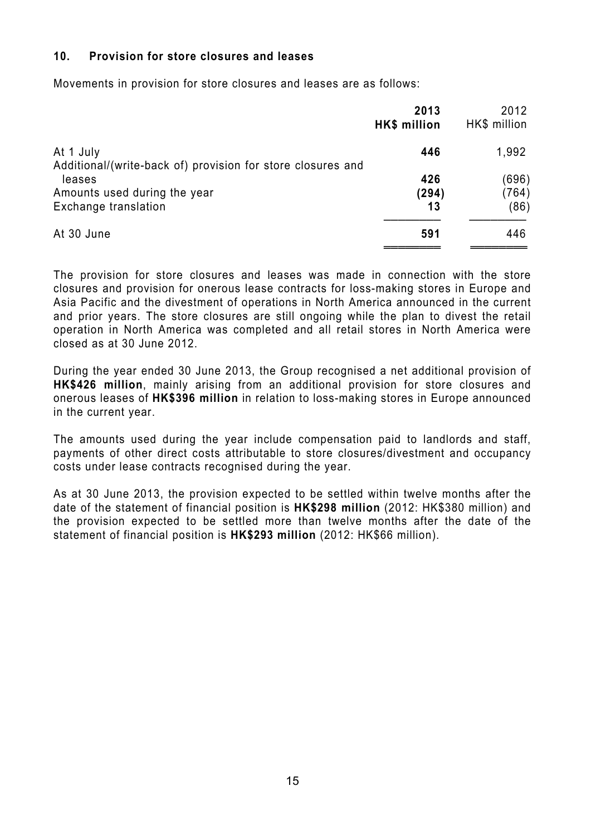#### **10. Provision for store closures and leases**

Movements in provision for store closures and leases are as follows:

|                                                             | 2013         | 2012         |
|-------------------------------------------------------------|--------------|--------------|
|                                                             | HK\$ million | HK\$ million |
| At 1 July                                                   | 446          | 1,992        |
| Additional/(write-back of) provision for store closures and |              |              |
| leases                                                      | 426          | (696)        |
| Amounts used during the year                                | (294)        | (764)        |
| Exchange translation                                        | 13           | (86)         |
| At 30 June                                                  | 591          | 446          |
|                                                             |              |              |

The provision for store closures and leases was made in connection with the store closures and provision for onerous lease contracts for loss-making stores in Europe and Asia Pacific and the divestment of operations in North America announced in the current and prior years. The store closures are still ongoing while the plan to divest the retail operation in North America was completed and all retail stores in North America were closed as at 30 June 2012.

During the year ended 30 June 2013, the Group recognised a net additional provision of **HK\$426 million**, mainly arising from an additional provision for store closures and onerous leases of **HK\$396 million** in relation to loss-making stores in Europe announced in the current year.

The amounts used during the year include compensation paid to landlords and staff, payments of other direct costs attributable to store closures/divestment and occupancy costs under lease contracts recognised during the year.

As at 30 June 2013, the provision expected to be settled within twelve months after the date of the statement of financial position is **HK\$298 million** (2012: HK\$380 million) and the provision expected to be settled more than twelve months after the date of the statement of financial position is **HK\$293 million** (2012: HK\$66 million).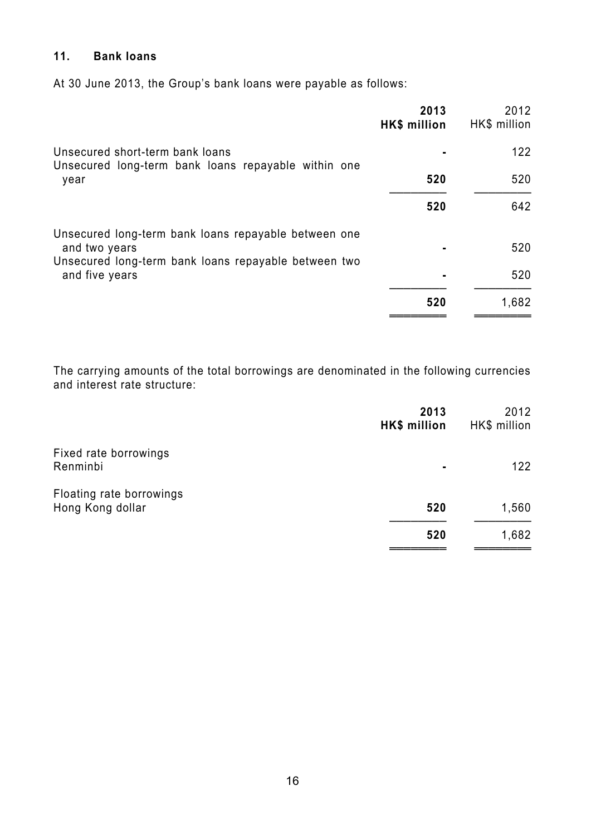## **11. Bank loans**

At 30 June 2013, the Group's bank loans were payable as follows:

|                                                                                                                               | 2013<br>HK\$ million | 2012<br>HK\$ million |
|-------------------------------------------------------------------------------------------------------------------------------|----------------------|----------------------|
| Unsecured short-term bank loans<br>Unsecured long-term bank loans repayable within one                                        |                      | 122                  |
| year                                                                                                                          | 520                  | 520                  |
|                                                                                                                               | 520                  | 642                  |
| Unsecured long-term bank loans repayable between one<br>and two years<br>Unsecured long-term bank loans repayable between two |                      | 520                  |
| and five years                                                                                                                |                      | 520                  |
|                                                                                                                               | 520                  | 1,682                |

The carrying amounts of the total borrowings are denominated in the following currencies and interest rate structure:

|                                              | 2013<br>HK\$ million | 2012<br>HK\$ million |
|----------------------------------------------|----------------------|----------------------|
| Fixed rate borrowings<br>Renminbi            | $\blacksquare$       | 122                  |
| Floating rate borrowings<br>Hong Kong dollar | 520                  | 1,560                |
|                                              | 520                  | 1,682                |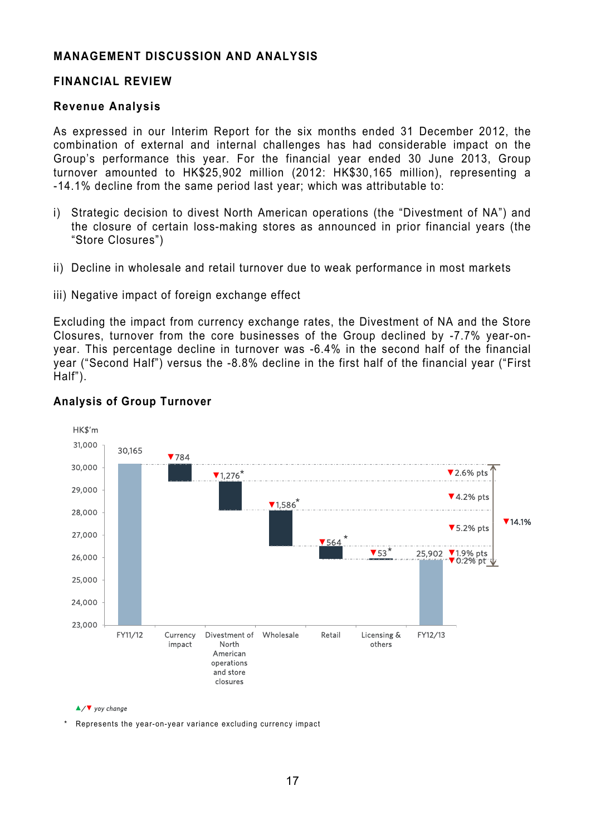## **MANAGEMENT DISCUSSION AND ANALYSIS**

#### **FINANCIAL REVIEW**

#### **Revenue Analysis**

As expressed in our Interim Report for the six months ended 31 December 2012, the combination of external and internal challenges has had considerable impact on the Group's performance this year. For the financial year ended 30 June 2013, Group turnover amounted to HK\$25,902 million (2012: HK\$30,165 million), representing a -14.1% decline from the same period last year; which was attributable to:

- i) Strategic decision to divest North American operations (the "Divestment of NA") and the closure of certain loss-making stores as announced in prior financial years (the "Store Closures")
- ii) Decline in wholesale and retail turnover due to weak performance in most markets
- iii) Negative impact of foreign exchange effect

Excluding the impact from currency exchange rates, the Divestment of NA and the Store Closures, turnover from the core businesses of the Group declined by -7.7% year-onyear. This percentage decline in turnover was -6.4% in the second half of the financial year ("Second Half") versus the -8.8% decline in the first half of the financial year ("First Half").



## **Analysis of Group Turnover**

#### *▲/▼ yoy change*

Represents the year-on-year variance excluding currency impact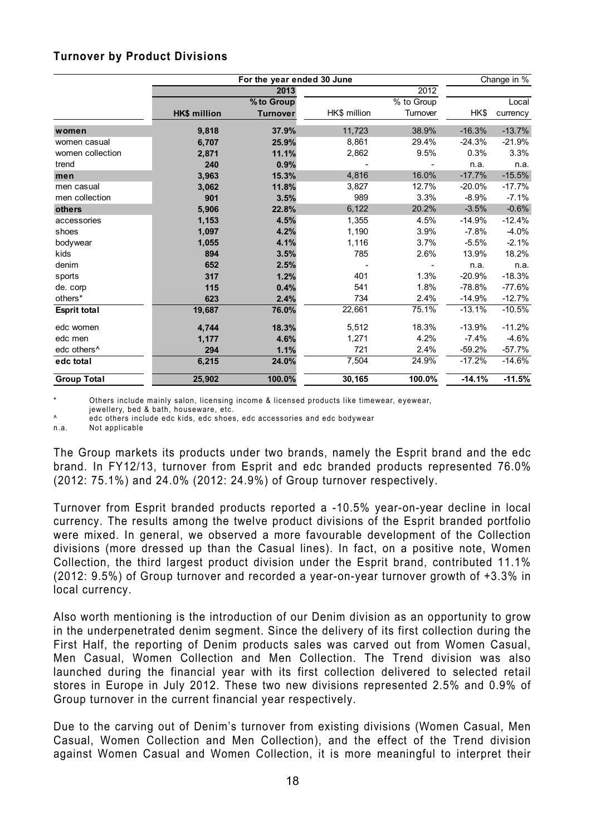## **Turnover by Product Divisions**

| For the year ended 30 June |              |                 |              |            | Change in % |          |
|----------------------------|--------------|-----------------|--------------|------------|-------------|----------|
|                            |              | 2013            |              | 2012       |             |          |
|                            |              | % to Group      |              | % to Group |             | Local    |
|                            | HK\$ million | <b>Turnover</b> | HK\$ million | Turnover   | HK\$        | currency |
| women                      | 9,818        | 37.9%           | 11,723       | 38.9%      | $-16.3%$    | $-13.7%$ |
| women casual               | 6,707        | 25.9%           | 8,861        | 29.4%      | $-24.3%$    | $-21.9%$ |
| women collection           | 2,871        | 11.1%           | 2,862        | 9.5%       | 0.3%        | 3.3%     |
| trend                      | 240          | 0.9%            |              |            | n.a.        | n.a.     |
| men                        | 3,963        | 15.3%           | 4,816        | 16.0%      | $-17.7%$    | $-15.5%$ |
| men casual                 | 3,062        | 11.8%           | 3,827        | 12.7%      | $-20.0%$    | $-17.7%$ |
| men collection             | 901          | 3.5%            | 989          | 3.3%       | $-8.9%$     | $-7.1%$  |
| others                     | 5,906        | 22.8%           | 6,122        | 20.2%      | $-3.5%$     | $-0.6%$  |
| accessories                | 1,153        | 4.5%            | 1,355        | 4.5%       | $-14.9%$    | $-12.4%$ |
| shoes                      | 1,097        | 4.2%            | 1,190        | 3.9%       | $-7.8%$     | $-4.0%$  |
| bodywear                   | 1,055        | 4.1%            | 1,116        | 3.7%       | $-5.5%$     | $-2.1%$  |
| kids                       | 894          | 3.5%            | 785          | 2.6%       | 13.9%       | 18.2%    |
| denim                      | 652          | 2.5%            |              |            | n.a.        | n.a.     |
| sports                     | 317          | 1.2%            | 401          | 1.3%       | $-20.9%$    | $-18.3%$ |
| de. corp                   | 115          | 0.4%            | 541          | 1.8%       | $-78.8\%$   | $-77.6%$ |
| others*                    | 623          | 2.4%            | 734          | 2.4%       | $-14.9%$    | $-12.7%$ |
| Esprit total               | 19,687       | 76.0%           | 22,661       | 75.1%      | $-13.1%$    | $-10.5%$ |
| edc women                  | 4,744        | 18.3%           | 5,512        | 18.3%      | $-13.9%$    | $-11.2%$ |
| edc men                    | 1,177        | 4.6%            | 1,271        | 4.2%       | $-7.4%$     | $-4.6%$  |
| edc others <sup>^</sup>    | 294          | 1.1%            | 721          | 2.4%       | $-59.2%$    | $-57.7%$ |
| edc total                  | 6,215        | 24.0%           | 7,504        | 24.9%      | $-17.2%$    | $-14.6%$ |
| <b>Group Total</b>         | 25,902       | 100.0%          | 30,165       | 100.0%     | $-14.1%$    | $-11.5%$ |

Others include mainly salon, licensing income & licensed products like timewear, eyewear,

jewellery, bed & bath, houseware, etc.

edc others include edc kids, edc shoes, edc accessories and edc bodywear

n.a. Not applicable

The Group markets its products under two brands, namely the Esprit brand and the edc brand. In FY12/13, turnover from Esprit and edc branded products represented 76.0% (2012: 75.1%) and 24.0% (2012: 24.9%) of Group turnover respectively.

Turnover from Esprit branded products reported a -10.5% year-on-year decline in local currency. The results among the twelve product divisions of the Esprit branded portfolio were mixed. In general, we observed a more favourable development of the Collection divisions (more dressed up than the Casual lines). In fact, on a positive note, Women Collection, the third largest product division under the Esprit brand, contributed 11.1% (2012: 9.5%) of Group turnover and recorded a year-on-year turnover growth of +3.3% in local currency.

Also worth mentioning is the introduction of our Denim division as an opportunity to grow in the underpenetrated denim segment. Since the delivery of its first collection during the First Half, the reporting of Denim products sales was carved out from Women Casual, Men Casual, Women Collection and Men Collection. The Trend division was also launched during the financial year with its first collection delivered to selected retail stores in Europe in July 2012. These two new divisions represented 2.5% and 0.9% of Group turnover in the current financial year respectively.

Due to the carving out of Denim's turnover from existing divisions (Women Casual, Men Casual, Women Collection and Men Collection), and the effect of the Trend division against Women Casual and Women Collection, it is more meaningful to interpret their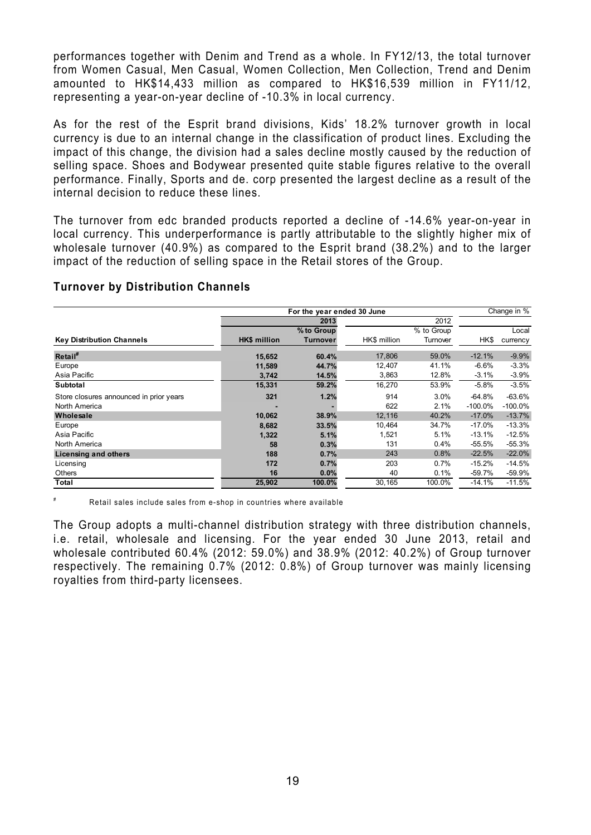performances together with Denim and Trend as a whole. In FY12/13, the total turnover from Women Casual, Men Casual, Women Collection, Men Collection, Trend and Denim amounted to HK\$14,433 million as compared to HK\$16,539 million in FY11/12, representing a year-on-year decline of -10.3% in local currency.

As for the rest of the Esprit brand divisions, Kids' 18.2% turnover growth in local currency is due to an internal change in the classification of product lines. Excluding the impact of this change, the division had a sales decline mostly caused by the reduction of selling space. Shoes and Bodywear presented quite stable figures relative to the overall performance. Finally, Sports and de. corp presented the largest decline as a result of the internal decision to reduce these lines.

The turnover from edc branded products reported a decline of -14.6% year-on-year in local currency. This underperformance is partly attributable to the slightly higher mix of wholesale turnover (40.9%) as compared to the Esprit brand (38.2%) and to the larger impact of the reduction of selling space in the Retail stores of the Group.

|                                         |                     | For the year ended 30 June |              |            |            | Change in $\sqrt{6}$ |  |
|-----------------------------------------|---------------------|----------------------------|--------------|------------|------------|----------------------|--|
|                                         |                     | 2013                       |              | 2012       |            |                      |  |
|                                         |                     | % to Group                 |              | % to Group |            | Local                |  |
| <b>Key Distribution Channels</b>        | <b>HK\$</b> million | <b>Turnover</b>            | HK\$ million | Turnover   | HK\$       | currency             |  |
| Retail <sup>#</sup>                     | 15,652              | 60.4%                      | 17,806       | 59.0%      | $-12.1%$   | $-9.9%$              |  |
| Europe                                  | 11,589              | 44.7%                      | 12,407       | 41.1%      | $-6.6%$    | $-3.3%$              |  |
| Asia Pacific                            | 3,742               | 14.5%                      | 3,863        | 12.8%      | $-3.1%$    | $-3.9%$              |  |
| Subtotal                                | 15,331              | 59.2%                      | 16,270       | 53.9%      | $-5.8%$    | $-3.5%$              |  |
| Store closures announced in prior years | 321                 | 1.2%                       | 914          | 3.0%       | $-64.8%$   | $-63.6%$             |  |
| North America                           |                     |                            | 622          | 2.1%       | $-100.0\%$ | $-100.0\%$           |  |
| Wholesale                               | 10,062              | 38.9%                      | 12,116       | 40.2%      | $-17.0%$   | $-13.7%$             |  |
| Europe                                  | 8,682               | 33.5%                      | 10,464       | 34.7%      | $-17.0%$   | $-13.3%$             |  |
| Asia Pacific                            | 1,322               | 5.1%                       | 1,521        | 5.1%       | $-13.1%$   | $-12.5%$             |  |
| North America                           | 58                  | 0.3%                       | 131          | 0.4%       | $-55.5%$   | $-55.3%$             |  |
| Licensing and others                    | 188                 | 0.7%                       | 243          | 0.8%       | $-22.5%$   | $-22.0%$             |  |
| Licensing                               | 172                 | 0.7%                       | 203          | $0.7\%$    | $-15.2%$   | $-14.5%$             |  |
| <b>Others</b>                           | 16                  | 0.0%                       | 40           | 0.1%       | $-59.7%$   | $-59.9%$             |  |
| Total                                   | 25,902              | 100.0%                     | 30,165       | 100.0%     | $-14.1%$   | $-11.5%$             |  |

#### **Turnover by Distribution Channels**

Retail sales include sales from e-shop in countries where available

The Group adopts a multi-channel distribution strategy with three distribution channels, i.e. retail, wholesale and licensing. For the year ended 30 June 2013, retail and wholesale contributed 60.4% (2012: 59.0%) and 38.9% (2012: 40.2%) of Group turnover respectively. The remaining 0.7% (2012: 0.8%) of Group turnover was mainly licensing royalties from third-party licensees.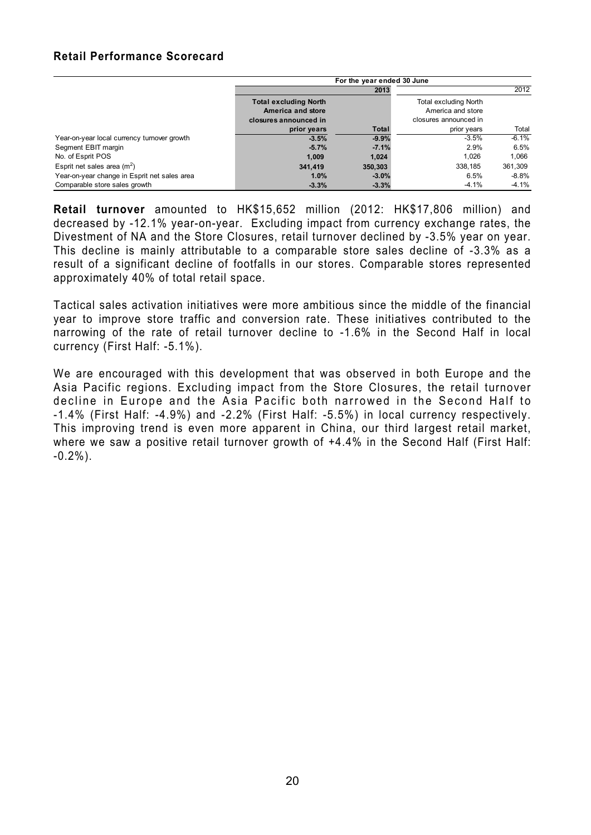## **Retail Performance Scorecard**

|                                              | For the year ended 30 June                                                 |         |                                                                     |          |  |
|----------------------------------------------|----------------------------------------------------------------------------|---------|---------------------------------------------------------------------|----------|--|
|                                              |                                                                            | 2013    |                                                                     | 2012     |  |
|                                              | <b>Total excluding North</b><br>America and store<br>closures announced in |         | Total excluding North<br>America and store<br>closures announced in |          |  |
|                                              | prior years                                                                | Total   | prior years                                                         | Total    |  |
| Year-on-year local currency turnover growth  | $-3.5%$                                                                    | $-9.9%$ | $-3.5%$                                                             | $-6.1%$  |  |
| Segment EBIT margin                          | $-5.7%$                                                                    | $-7.1%$ | 2.9%                                                                | 6.5%     |  |
| No. of Esprit POS                            | 1.009                                                                      | 1.024   | 1.026                                                               | 1.066    |  |
| Esprit net sales area $(m2)$                 | 341,419                                                                    | 350,303 | 338.185                                                             | 361,309  |  |
| Year-on-year change in Esprit net sales area | 1.0%                                                                       | $-3.0%$ | 6.5%                                                                | -8.8%    |  |
| Comparable store sales growth                | $-3.3%$                                                                    | $-3.3%$ | $-4.1%$                                                             | $-4.1\%$ |  |

**Retail turnover** amounted to HK\$15,652 million (2012: HK\$17,806 million) and decreased by -12.1% year-on-year. Excluding impact from currency exchange rates, the Divestment of NA and the Store Closures, retail turnover declined by -3.5% year on year. This decline is mainly attributable to a comparable store sales decline of -3.3% as a result of a significant decline of footfalls in our stores. Comparable stores represented approximately 40% of total retail space.

Tactical sales activation initiatives were more ambitious since the middle of the financial year to improve store traffic and conversion rate. These initiatives contributed to the narrowing of the rate of retail turnover decline to -1.6% in the Second Half in local currency (First Half: -5.1%).

We are encouraged with this development that was observed in both Europe and the Asia Pacific regions. Excluding impact from the Store Closures, the retail turnover decline in Europe and the Asia Pacific both narrowed in the Second Half to -1.4% (First Half: -4.9%) and -2.2% (First Half: -5.5%) in local currency respectively. This improving trend is even more apparent in China, our third largest retail market, where we saw a positive retail turnover growth of  $+4.4\%$  in the Second Half (First Half:  $-0.2\%$ ).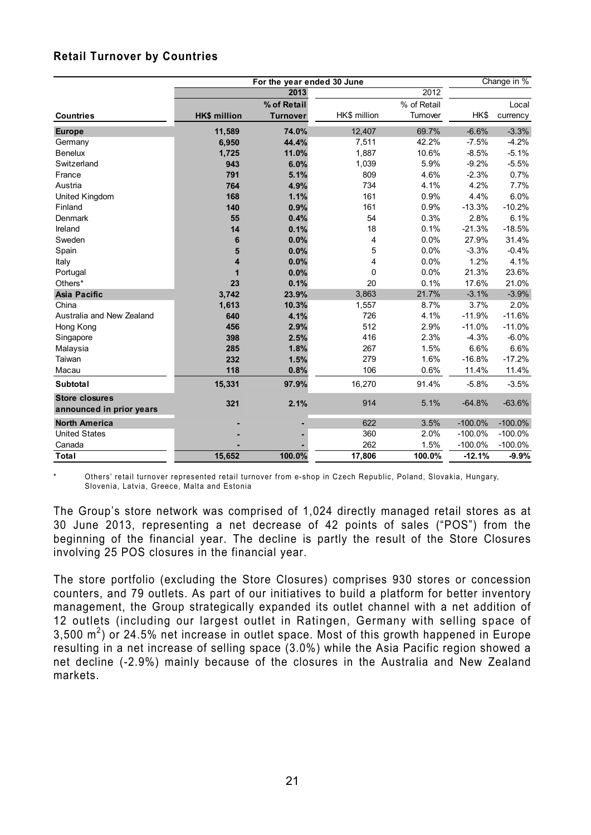## **Retail Turnover by Countries**

| For the year ended 30 June                        |                     |                 |              | Change in % |           |            |
|---------------------------------------------------|---------------------|-----------------|--------------|-------------|-----------|------------|
|                                                   |                     | 2013            |              | 2012        |           |            |
|                                                   |                     | % of Retail     |              | % of Retail |           | Local      |
| <b>Countries</b>                                  | <b>HK\$ million</b> | <b>Turnover</b> | HK\$ million | Turnover    | HK\$      | currency   |
| <b>Europe</b>                                     | 11,589              | 74.0%           | 12,407       | 69.7%       | $-6.6%$   | $-3.3%$    |
| Germany                                           | 6,950               | 44.4%           | 7,511        | 42.2%       | $-7.5%$   | $-4.2%$    |
| <b>Benelux</b>                                    | 1,725               | 11.0%           | 1,887        | 10.6%       | $-8.5%$   | $-5.1%$    |
| Switzerland                                       | 943                 | 6.0%            | 1,039        | 5.9%        | $-9.2%$   | $-5.5%$    |
| France                                            | 791                 | 5.1%            | 809          | 4.6%        | $-2.3%$   | 0.7%       |
| Austria                                           | 764                 | 4.9%            | 734          | 4.1%        | 4.2%      | 7.7%       |
| United Kingdom                                    | 168                 | 1.1%            | 161          | 0.9%        | 4.4%      | 6.0%       |
| Finland                                           | 140                 | 0.9%            | 161          | 0.9%        | $-13.3%$  | $-10.2%$   |
| Denmark                                           | 55                  | 0.4%            | 54           | 0.3%        | 2.8%      | 6.1%       |
| Ireland                                           | 14                  | 0.1%            | 18           | 0.1%        | $-21.3%$  | $-18.5%$   |
| Sweden                                            | 6                   | 0.0%            | 4            | 0.0%        | 27.9%     | 31.4%      |
| Spain                                             | 5                   | 0.0%            | 5            | 0.0%        | $-3.3%$   | $-0.4%$    |
| Italy                                             | 4                   | 0.0%            | 4            | 0.0%        | 1.2%      | 4.1%       |
| Portugal                                          | 1                   | 0.0%            | 0            | 0.0%        | 21.3%     | 23.6%      |
| Others*                                           | 23                  | 0.1%            | 20           | 0.1%        | 17.6%     | 21.0%      |
| <b>Asia Pacific</b>                               | 3,742               | 23.9%           | 3,863        | 21.7%       | $-3.1%$   | $-3.9%$    |
| China                                             | 1,613               | 10.3%           | 1,557        | 8.7%        | 3.7%      | 2.0%       |
| Australia and New Zealand                         | 640                 | 4.1%            | 726          | 4.1%        | $-11.9%$  | $-11.6%$   |
| Hong Kong                                         | 456                 | 2.9%            | 512          | 2.9%        | $-11.0%$  | $-11.0%$   |
| Singapore                                         | 398                 | 2.5%            | 416          | 2.3%        | $-4.3%$   | $-6.0%$    |
| Malaysia                                          | 285                 | 1.8%            | 267          | 1.5%        | 6.6%      | 6.6%       |
| Taiwan                                            | 232                 | 1.5%            | 279          | 1.6%        | $-16.8%$  | $-17.2%$   |
| Macau                                             | 118                 | 0.8%            | 106          | 0.6%        | 11.4%     | 11.4%      |
| <b>Subtotal</b>                                   | 15,331              | 97.9%           | 16,270       | 91.4%       | $-5.8%$   | $-3.5%$    |
| <b>Store closures</b><br>announced in prior years | 321                 | 2.1%            | 914          | 5.1%        | $-64.8%$  | $-63.6%$   |
| <b>North America</b>                              |                     |                 | 622          | 3.5%        | $-100.0%$ | $-100.0\%$ |
| <b>United States</b>                              |                     |                 | 360          | 2.0%        | $-100.0%$ | $-100.0\%$ |
| Canada                                            |                     |                 | 262          | 1.5%        | $-100.0%$ | $-100.0\%$ |
| Total                                             | 15,652              | 100.0%          | 17,806       | 100.0%      | $-12.1%$  | $-9.9%$    |

Others' retail turnover represented retail turnover from e-shop in Czech Republic, Poland, Slovakia, Hungary, Slovenia, Latvia, Greece, Malta and Estonia

The Group's store network was comprised of 1,024 directly managed retail stores as at 30 June 2013, representing a net decrease of 42 points of sales ("POS") from the beginning of the financial year. The decline is partly the result of the Store Closures involving 25 POS closures in the financial year.

The store portfolio (excluding the Store Closures) comprises 930 stores or concession counters, and 79 outlets. As part of our initiatives to build a platform for better inventory management, the Group strategically expanded its outlet channel with a net addition of 12 outlets (including our largest outlet in Ratingen, Germany with selling space of 3,500  $\mathrm{m}^2$ ) or 24.5% net increase in outlet space. Most of this growth happened in Europe resulting in a net increase of selling space (3.0%) while the Asia Pacific region showed a net decline (-2.9%) mainly because of the closures in the Australia and New Zealand markets.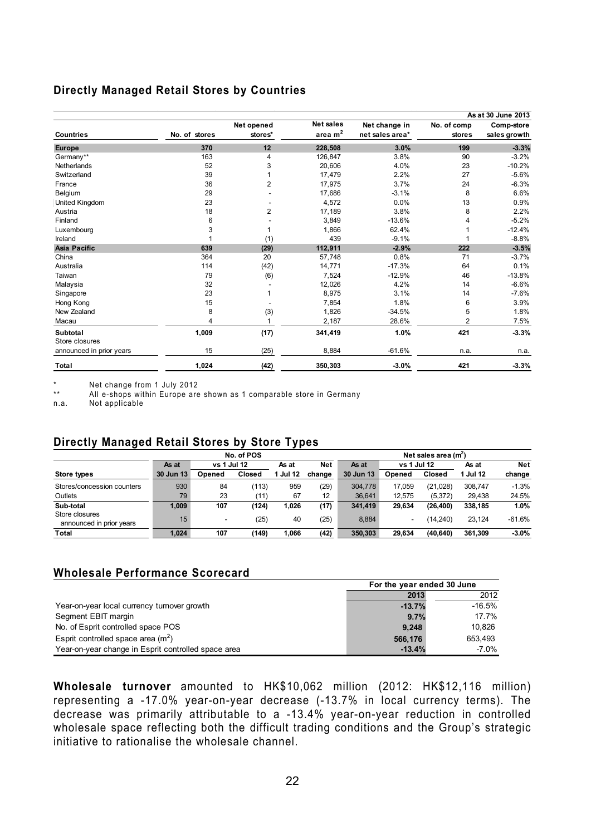### **Directly Managed Retail Stores by Countries**

|                                   |               |                       |                        |                                  |                       | As at 30 June 2013         |
|-----------------------------------|---------------|-----------------------|------------------------|----------------------------------|-----------------------|----------------------------|
| <b>Countries</b>                  | No. of stores | Net opened<br>stores* | Net sales<br>area $m2$ | Net change in<br>net sales area* | No. of comp<br>stores | Comp-store<br>sales growth |
| <b>Europe</b>                     | 370           | 12                    | 228,508                | 3.0%                             | 199                   | $-3.3%$                    |
| Germany**                         | 163           | 4                     | 126,847                | 3.8%                             | 90                    | $-3.2%$                    |
| Netherlands                       | 52            | 3                     | 20,606                 | 4.0%                             | 23                    | $-10.2%$                   |
| Switzerland                       | 39            |                       | 17,479                 | 2.2%                             | 27                    | $-5.6%$                    |
| France                            | 36            | $\overline{2}$        | 17,975                 | 3.7%                             | 24                    | $-6.3%$                    |
| Belgium                           | 29            |                       | 17,686                 | $-3.1%$                          | 8                     | 6.6%                       |
| United Kingdom                    | 23            |                       | 4,572                  | 0.0%                             | 13                    | 0.9%                       |
| Austria                           | 18            | $\overline{2}$        | 17,189                 | 3.8%                             | 8                     | 2.2%                       |
| Finland                           | 6             |                       | 3,849                  | $-13.6%$                         | 4                     | $-5.2%$                    |
| Luxembourg                        | 3             |                       | 1,866                  | 62.4%                            |                       | $-12.4%$                   |
| Ireland                           | 1             | (1)                   | 439                    | $-9.1%$                          |                       | $-8.8%$                    |
| Asia Pacific                      | 639           | (29)                  | 112,911                | $-2.9%$                          | 222                   | $-3.5%$                    |
| China                             | 364           | 20                    | 57,748                 | 0.8%                             | 71                    | $-3.7%$                    |
| Australia                         | 114           | (42)                  | 14,771                 | $-17.3%$                         | 64                    | 0.1%                       |
| Taiwan                            | 79            | (6)                   | 7,524                  | $-12.9%$                         | 46                    | $-13.8%$                   |
| Malaysia                          | 32            |                       | 12,026                 | 4.2%                             | 14                    | $-6.6%$                    |
| Singapore                         | 23            |                       | 8,975                  | 3.1%                             | 14                    | $-7.6%$                    |
| Hong Kong                         | 15            |                       | 7,854                  | 1.8%                             | 6                     | 3.9%                       |
| New Zealand                       | 8             | (3)                   | 1.826                  | $-34.5%$                         | 5                     | 1.8%                       |
| Macau                             | 4             |                       | 2,187                  | 28.6%                            | $\overline{c}$        | 7.5%                       |
| <b>Subtotal</b><br>Store closures | 1,009         | (17)                  | 341,419                | 1.0%                             | 421                   | $-3.3%$                    |
| announced in prior years          | 15            | (25)                  | 8,884                  | $-61.6%$                         | n.a.                  | n.a.                       |
| Total                             | 1,024         | (42)                  | 350,303                | $-3.0%$                          | 421                   | $-3.3%$                    |

\* Net change from 1 July 2012<br>\*\* All e-shops within Furone are

All e-shops within Europe are shown as 1 comparable store in Germany

n.a. Not applicable

#### **Directly Managed Retail Stores by Store Types**

|                                            |           | No. of POS  |        |          |        | Net sales area (m <sup>2</sup> ) |             |          |          |            |
|--------------------------------------------|-----------|-------------|--------|----------|--------|----------------------------------|-------------|----------|----------|------------|
|                                            | As at     | vs 1 Jul 12 |        | As at    | Net    | As at                            | vs 1 Jul 12 |          | As at    | <b>Net</b> |
| <b>Store types</b>                         | 30 Jun 13 | Opened      | Closed | 1 Jul 12 | change | 30 Jun 13                        | Opened      | Closed   | 1 Jul 12 | change     |
| Stores/concession counters                 | 930       | 84          | (113)  | 959      | (29)   | 304.778                          | 17.059      | (21.028) | 308.747  | $-1.3%$    |
| Outlets                                    | 79        | 23          | (11)   | 67       | 12     | 36.641                           | 12.575      | (5,372)  | 29,438   | 24.5%      |
| Sub-total                                  | 1.009     | 107         | (124)  | 1,026    | (17)   | 341.419                          | 29.634      | (26,400) | 338.185  | 1.0%       |
| Store closures<br>announced in prior years | 15        |             | (25)   | 40       | (25)   | 8.884                            | -           | (14.240) | 23.124   | $-61.6%$   |
| <b>Total</b>                               | 1.024     | 107         | (149)  | 1.066    | (42)   | 350,303                          | 29.634      | (40.640) | 361.309  | $-3.0\%$   |

#### **Wholesale Performance Scorecard**

|                                                     | For the year ended 30 June |          |
|-----------------------------------------------------|----------------------------|----------|
|                                                     | 2013                       | 2012     |
| Year-on-year local currency turnover growth         | $-13.7%$                   | $-16.5%$ |
| Segment EBIT margin                                 | 9.7%                       | 17.7%    |
| No. of Esprit controlled space POS                  | 9.248                      | 10.826   |
| Esprit controlled space area $(m2)$                 | 566.176                    | 653.493  |
| Year-on-year change in Esprit controlled space area | $-13.4%$                   | $-7.0\%$ |

**Wholesale turnover** amounted to HK\$10,062 million (2012: HK\$12,116 million) representing a -17.0% year-on-year decrease (-13.7% in local currency terms). The decrease was primarily attributable to a -13.4% year-on-year reduction in controlled wholesale space reflecting both the difficult trading conditions and the Group's strategic initiative to rationalise the wholesale channel.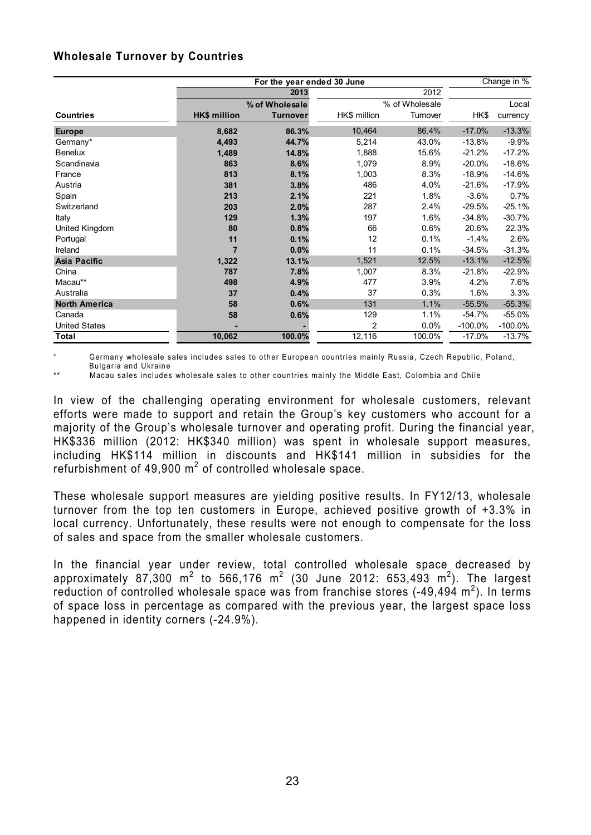## **Wholesale Turnover by Countries**

|                      |                | For the year ended 30 June |              |                |           | Change in % |
|----------------------|----------------|----------------------------|--------------|----------------|-----------|-------------|
|                      |                | 2013                       |              | 2012           |           |             |
|                      |                | % of Wholesale             |              | % of Wholesale |           | Local       |
| <b>Countries</b>     | HK\$ million   | <b>Turnover</b>            | HK\$ million | Turnover       | HK\$      | currency    |
| <b>Europe</b>        | 8,682          | 86.3%                      | 10,464       | 86.4%          | $-17.0%$  | $-13.3%$    |
| Germany*             | 4,493          | 44.7%                      | 5,214        | 43.0%          | $-13.8%$  | $-9.9%$     |
| <b>Benelux</b>       | 1,489          | 14.8%                      | 1,888        | 15.6%          | $-21.2%$  | $-17.2%$    |
| Scandinavia          | 863            | 8.6%                       | 1,079        | 8.9%           | $-20.0%$  | $-18.6%$    |
| France               | 813            | 8.1%                       | 1,003        | 8.3%           | $-18.9%$  | $-14.6%$    |
| Austria              | 381            | 3.8%                       | 486          | 4.0%           | $-21.6%$  | $-17.9%$    |
| Spain                | 213            | 2.1%                       | 221          | 1.8%           | $-3.6%$   | 0.7%        |
| Switzerland          | 203            | 2.0%                       | 287          | 2.4%           | $-29.5%$  | $-25.1%$    |
| Italy                | 129            | 1.3%                       | 197          | 1.6%           | $-34.8%$  | $-30.7%$    |
| United Kingdom       | 80             | 0.8%                       | 66           | 0.6%           | 20.6%     | 22.3%       |
| Portugal             | 11             | 0.1%                       | 12           | 0.1%           | $-1.4%$   | 2.6%        |
| Ireland              | $\overline{7}$ | 0.0%                       | 11           | 0.1%           | $-34.5%$  | $-31.3%$    |
| <b>Asia Pacific</b>  | 1,322          | 13.1%                      | 1,521        | 12.5%          | $-13.1%$  | $-12.5%$    |
| China                | 787            | 7.8%                       | 1,007        | 8.3%           | $-21.8%$  | $-22.9%$    |
| Macau**              | 498            | 4.9%                       | 477          | 3.9%           | 4.2%      | 7.6%        |
| Australia            | 37             | 0.4%                       | 37           | 0.3%           | 1.6%      | 3.3%        |
| <b>North America</b> | 58             | 0.6%                       | 131          | 1.1%           | $-55.5%$  | $-55.3%$    |
| Canada               | 58             | 0.6%                       | 129          | 1.1%           | $-54.7%$  | $-55.0%$    |
| <b>United States</b> |                |                            | 2            | 0.0%           | $-100.0%$ | $-100.0\%$  |
| Total                | 10,062         | 100.0%                     | 12,116       | 100.0%         | $-17.0%$  | $-13.7%$    |

Germany wholesale sales includes sales to other European countries mainly Russia, Czech Republic, Poland, Bulgaria and Ukraine

\*\* Macau sales includes wholesale sales to other countries mainly the Middle East, Colombia and Chile

In view of the challenging operating environment for wholesale customers, relevant efforts were made to support and retain the Group's key customers who account for a majority of the Group's wholesale turnover and operating profit. During the financial year, HK\$336 million (2012: HK\$340 million) was spent in wholesale support measures, including HK\$114 million in discounts and HK\$141 million in subsidies for the refurbishment of 49,900  $m^2$  of controlled wholesale space.

These wholesale support measures are yielding positive results. In FY12/13, wholesale turnover from the top ten customers in Europe, achieved positive growth of +3.3% in local currency. Unfortunately, these results were not enough to compensate for the loss of sales and space from the smaller wholesale customers.

In the financial year under review, total controlled wholesale space decreased by approximately 87,300 m<sup>2</sup> to 566,176 m<sup>2</sup> (30 June 2012: 653,493 m<sup>2</sup>). The largest reduction of controlled wholesale space was from franchise stores  $(-49,494 \text{ m}^2)$ . In terms of space loss in percentage as compared with the previous year, the largest space loss happened in identity corners (-24.9%).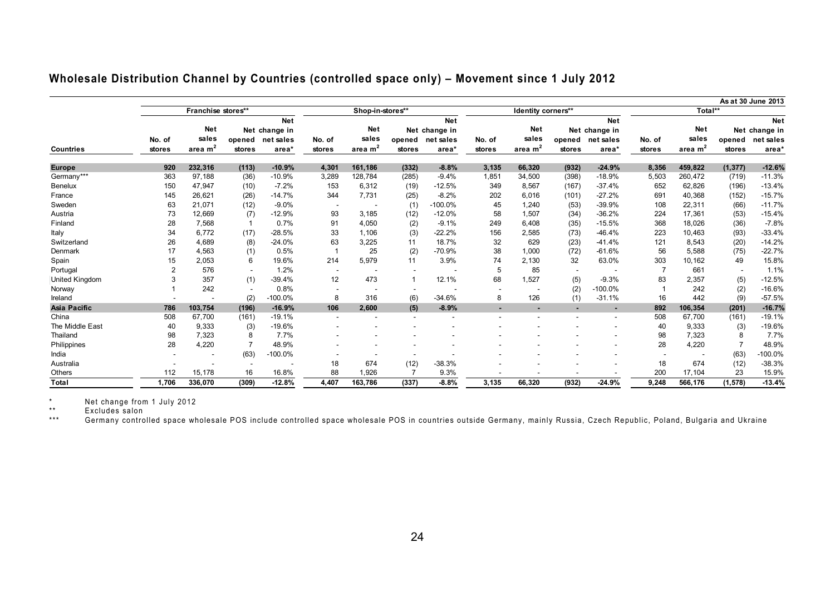|                  |                |                     |                          |               |        |                  |                          |                  |                |                    |                |                  |                          |            |                | As at 30 June 2013 |
|------------------|----------------|---------------------|--------------------------|---------------|--------|------------------|--------------------------|------------------|----------------|--------------------|----------------|------------------|--------------------------|------------|----------------|--------------------|
|                  |                | Franchise stores**  |                          |               |        | Shop-in-stores** |                          |                  |                | Identity corners** |                |                  |                          | Total**    |                |                    |
|                  |                |                     |                          | <b>Net</b>    |        |                  |                          | <b>Net</b>       |                |                    |                | <b>Net</b>       |                          |            |                | <b>Net</b>         |
|                  |                | <b>Net</b>          |                          | Net change in |        | <b>Net</b>       |                          | Net change in    |                | <b>Net</b>         |                | Net change in    |                          | <b>Net</b> |                | Net change in      |
|                  | No. of         | sales               | opened                   | net sales     | No. of | sales            |                          | opened net sales | No. of         | sales              |                | opened net sales | No. of                   | sales      | opened         | net sales          |
| <b>Countries</b> | stores         | area m <sup>2</sup> | stores                   | area*         | stores | area $m2$        | stores                   | area*            | stores         | area $m2$          | <b>stores</b>  | area*            | stores                   | area $m2$  | stores         | area*              |
| <b>Europe</b>    | 920            | 232,316             | (113)                    | $-10.9%$      | 4,301  | 161,186          | (332)                    | $-8.8%$          | 3,135          | 66,320             | (932)          | $-24.9%$         | 8,356                    | 459,822    | (1, 377)       | $-12.6%$           |
| Germany***       | 363            | 97,188              | (36)                     | $-10.9%$      | 3,289  | 128,784          | (285)                    | $-9.4%$          | 1,851          | 34,500             | (398)          | $-18.9%$         | 5,503                    | 260,472    | (719)          | $-11.3%$           |
| <b>Benelux</b>   | 150            | 47,947              | (10)                     | $-7.2%$       | 153    | 6,312            | (19)                     | $-12.5%$         | 349            | 8,567              | (167)          | $-37.4%$         | 652                      | 62,826     | (196)          | $-13.4%$           |
| France           | 145            | 26,621              | (26)                     | $-14.7%$      | 344    | 7,731            | (25)                     | $-8.2%$          | 202            | 6,016              | (101)          | $-27.2%$         | 691                      | 40,368     | (152)          | $-15.7%$           |
| Sweden           | 63             | 21,071              | (12)                     | $-9.0%$       |        |                  | (1)                      | -100.0%          | 45             | 1,240              | (53)           | $-39.9%$         | 108                      | 22,311     | (66)           | $-11.7%$           |
| Austria          | 73             | 12,669              | (7)                      | $-12.9%$      | 93     | 3,185            | (12)                     | $-12.0%$         | 58             | 1.507              | (34)           | $-36.2%$         | 224                      | 17,361     | (53)           | $-15.4%$           |
| Finland          | 28             | 7,568               |                          | 0.7%          | 91     | 4,050            | (2)                      | $-9.1%$          | 249            | 6,408              | (35)           | $-15.5%$         | 368                      | 18,026     | (36)           | $-7.8%$            |
| Italy            | 34             | 6,772               | (17)                     | $-28.5%$      | 33     | 1,106            | (3)                      | $-22.2%$         | 156            | 2,585              | (73)           | $-46.4%$         | 223                      | 10,463     | (93)           | $-33.4%$           |
| Switzerland      | 26             | 4,689               | (8)                      | $-24.0%$      | 63     | 3,225            | 11                       | 18.7%            | 32             | 629                | (23)           | $-41.4%$         | 121                      | 8,543      | (20)           | $-14.2%$           |
| Denmark          | 17             | 4,563               | (1)                      | 0.5%          |        | 25               | (2)                      | $-70.9%$         | 38             | 1.000              | (72)           | $-61.6%$         | 56                       | 5,588      | (75)           | $-22.7%$           |
| Spain            | 15             | 2,053               | 6                        | 19.6%         | 214    | 5,979            | 11                       | 3.9%             | 74             | 2,130              | 32             | 63.0%            | 303                      | 10,162     | 49             | 15.8%              |
| Portugal         | $\overline{2}$ | 576                 | $\overline{\phantom{a}}$ | 1.2%          |        |                  |                          |                  | 5              | 85                 |                |                  | $\overline{7}$           | 661        | $\sim$         | 1.1%               |
| United Kingdom   | 3              | 357                 | (1)                      | $-39.4%$      | 12     | 473              |                          | 12.1%            | 68             | 1,527              | (5)            | $-9.3%$          | 83                       | 2,357      | (5)            | $-12.5%$           |
| Norway           |                | 242                 | $\sim$                   | 0.8%          |        |                  | $\overline{\phantom{a}}$ |                  |                |                    | (2)            | $-100.0%$        |                          | 242        | (2)            | $-16.6%$           |
| Ireland          |                | $\overline{a}$      | (2)                      | $-100.0%$     | 8      | 316              | (6)                      | $-34.6%$         | 8              | 126                | (1)            | $-31.1%$         | 16                       | 442        | (9)            | $-57.5%$           |
| Asia Pacific     | 786            | 103,754             | (196)                    | $-16.9%$      | 106    | 2,600            | (5)                      | $-8.9%$          | $\blacksquare$ |                    | $\blacksquare$ |                  | 892                      | 106,354    | (201)          | $-16.7%$           |
| China            | 508            | 67,700              | (161)                    | $-19.1%$      |        |                  |                          |                  |                |                    |                |                  | 508                      | 67,700     | (161)          | $-19.1%$           |
| The Middle East  | 40             | 9,333               | (3)                      | $-19.6%$      |        |                  |                          |                  |                |                    |                |                  | 40                       | 9,333      | (3)            | $-19.6%$           |
| Thailand         | 98             | 7,323               | 8                        | 7.7%          |        |                  |                          |                  |                |                    |                |                  | 98                       | 7,323      | 8              | 7.7%               |
| Philippines      | 28             | 4,220               |                          | 48.9%         |        |                  |                          |                  |                |                    |                |                  | 28                       | 4,220      | $\overline{7}$ | 48.9%              |
| India            |                |                     | (63)                     | $-100.0\%$    |        |                  |                          |                  |                |                    |                |                  | $\overline{\phantom{a}}$ |            | (63)           | $-100.0%$          |
| Australia        |                |                     | $\overline{\phantom{a}}$ |               | 18     | 674              | (12)                     | $-38.3%$         |                |                    |                |                  | 18                       | 674        | (12)           | $-38.3%$           |
| Others           | 112            | 15,178              | 16                       | 16.8%         | 88     | 1,926            |                          | 9.3%             |                |                    |                |                  | 200                      | 17,104     | 23             | 15.9%              |
| Total            | 1,706          | 336.070             | (309)                    | $-12.8%$      | 4.407  | 163,786          | (337)                    | $-8.8%$          | 3,135          | 66,320             | (932)          | $-24.9%$         | 9.248                    | 566,176    | (1, 578)       | $-13.4%$           |

# **Wholesale Distribution Channel by Countries (controlled space only) – Movement since 1 July 2012**

\* Net change from 1 July 2012

Excludes salon

\*\*\* Germany controlled space wholesale POS include controlled space wholesale POS in countries outside Germany, mainly Russia, Czech Republic, Poland, Bulgaria and Ukraine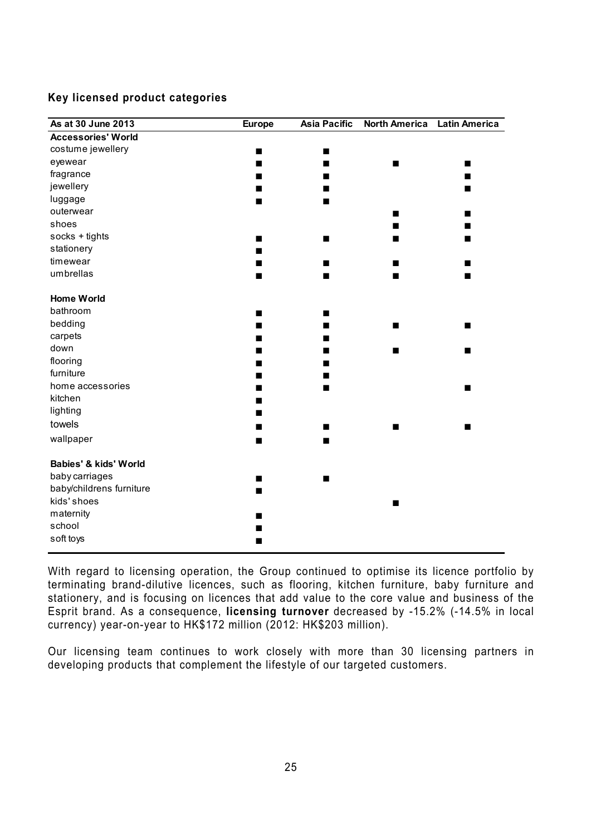#### **Key licensed product categories**

| As at 30 June 2013        | <b>Europe</b> | <b>Asia Pacific</b> | <b>North America</b> | <b>Latin America</b> |
|---------------------------|---------------|---------------------|----------------------|----------------------|
| <b>Accessories' World</b> |               |                     |                      |                      |
| costume jewellery         | ■             | ■                   |                      |                      |
| eyewear                   | ■             | ■                   | ■                    | ■                    |
| fragrance                 |               | ■                   |                      |                      |
| jewellery                 | ▬             | ■                   |                      | ■                    |
| luggage                   | ■             | п                   |                      |                      |
| outerwear                 |               |                     | ■                    |                      |
| shoes                     |               |                     |                      |                      |
| socks + tights            | ■             | ■                   |                      |                      |
| stationery                |               |                     |                      |                      |
| timewear                  |               | ■                   | ■                    | ■                    |
| umbrellas                 | ■             | п                   | ■                    | ■                    |
|                           |               |                     |                      |                      |
| <b>Home World</b>         |               |                     |                      |                      |
| bathroom                  | ■             | ■                   |                      |                      |
| bedding                   |               | ■                   | ■                    |                      |
| carpets                   |               | ■                   |                      |                      |
| down                      | ■             | ■                   | ■                    | ■                    |
| flooring                  |               | ■                   |                      |                      |
| furniture                 |               | ■                   |                      |                      |
| home accessories          |               | п                   |                      | ■                    |
| kitchen                   |               |                     |                      |                      |
| lighting                  |               |                     |                      |                      |
| towels                    | ■             | ■                   |                      |                      |
| wallpaper                 | ■             | ■                   |                      |                      |
| Babies' & kids' World     |               |                     |                      |                      |
| baby carriages            | ■             | п                   |                      |                      |
| baby/childrens furniture  | ■             |                     |                      |                      |
| kids' shoes               |               |                     | ■                    |                      |
| maternity                 |               |                     |                      |                      |
| school                    |               |                     |                      |                      |
| soft toys                 | ■             |                     |                      |                      |
|                           |               |                     |                      |                      |

With regard to licensing operation, the Group continued to optimise its licence portfolio by terminating brand-dilutive licences, such as flooring, kitchen furniture, baby furniture and stationery, and is focusing on licences that add value to the core value and business of the Esprit brand. As a consequence, **licensing turnover** decreased by -15.2% (-14.5% in local currency) year-on-year to HK\$172 million (2012: HK\$203 million).

Our licensing team continues to work closely with more than 30 licensing partners in developing products that complement the lifestyle of our targeted customers.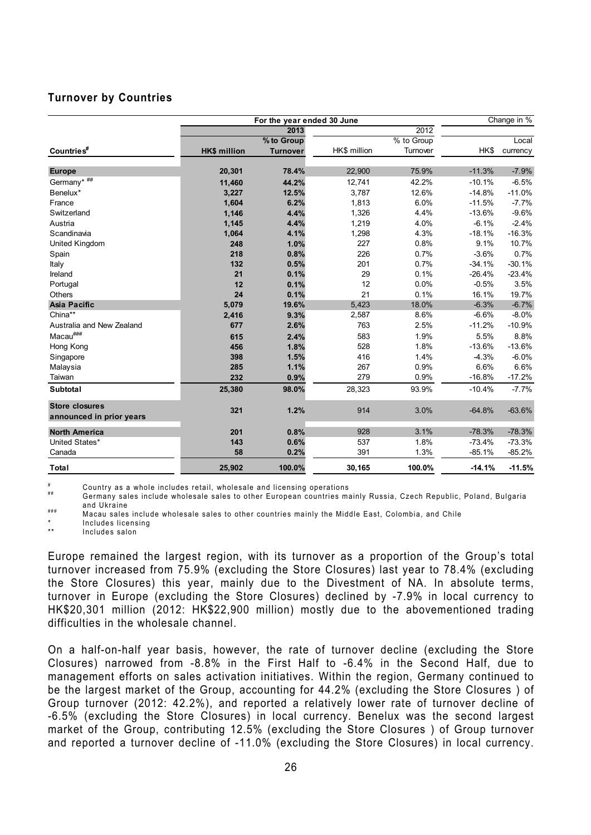#### **Turnover by Countries**

|                                                   |                     | For the year ended 30 June | Change in %  |            |          |          |
|---------------------------------------------------|---------------------|----------------------------|--------------|------------|----------|----------|
|                                                   |                     | 2013                       |              | 2012       |          |          |
|                                                   |                     | % to Group                 |              | % to Group |          | Local    |
| Countries <sup>#</sup>                            | <b>HK\$ million</b> | <b>Turnover</b>            | HK\$ million | Turnover   | HK\$     | currency |
| <b>Europe</b>                                     | 20,301              | 78.4%                      | 22,900       | 75.9%      | $-11.3%$ | $-7.9%$  |
|                                                   |                     |                            |              |            |          |          |
| Germany* $\overline{***}$                         | 11,460              | 44.2%                      | 12,741       | 42.2%      | $-10.1%$ | $-6.5%$  |
| Benelux*                                          | 3,227               | 12.5%                      | 3.787        | 12.6%      | $-14.8%$ | $-11.0%$ |
| France                                            | 1,604               | 6.2%                       | 1,813        | 6.0%       | $-11.5%$ | $-7.7%$  |
| Switzerland                                       | 1,146               | 4.4%                       | 1,326        | 4.4%       | $-13.6%$ | $-9.6%$  |
| Austria                                           | 1,145               | 4.4%                       | 1,219        | 4.0%       | $-6.1%$  | $-2.4%$  |
| Scandinavia                                       | 1,064               | 4.1%                       | 1,298        | 4.3%       | $-18.1%$ | $-16.3%$ |
| <b>United Kingdom</b>                             | 248                 | 1.0%                       | 227          | 0.8%       | 9.1%     | 10.7%    |
| Spain                                             | 218                 | 0.8%                       | 226          | 0.7%       | $-3.6%$  | 0.7%     |
| Italy                                             | 132                 | 0.5%                       | 201          | 0.7%       | $-34.1%$ | $-30.1%$ |
| Ireland                                           | 21                  | 0.1%                       | 29           | 0.1%       | $-26.4%$ | $-23.4%$ |
| Portugal                                          | 12                  | 0.1%                       | 12           | 0.0%       | $-0.5%$  | 3.5%     |
| Others                                            | 24                  | 0.1%                       | 21           | 0.1%       | 16.1%    | 19.7%    |
| <b>Asia Pacific</b>                               | 5,079               | 19.6%                      | 5,423        | 18.0%      | $-6.3%$  | $-6.7%$  |
| China**                                           | 2,416               | 9.3%                       | 2,587        | 8.6%       | $-6.6%$  | $-8.0%$  |
| Australia and New Zealand                         | 677                 | 2.6%                       | 763          | 2.5%       | $-11.2%$ | $-10.9%$ |
| Macau###                                          | 615                 | 2.4%                       | 583          | 1.9%       | 5.5%     | 8.8%     |
| Hong Kong                                         | 456                 | 1.8%                       | 528          | 1.8%       | $-13.6%$ | $-13.6%$ |
| Singapore                                         | 398                 | 1.5%                       | 416          | 1.4%       | $-4.3%$  | $-6.0%$  |
| Malaysia                                          | 285                 | 1.1%                       | 267          | 0.9%       | 6.6%     | 6.6%     |
| Taiwan                                            | 232                 | 0.9%                       | 279          | 0.9%       | $-16.8%$ | $-17.2%$ |
| Subtotal                                          | 25,380              | 98.0%                      | 28,323       | 93.9%      | $-10.4%$ | $-7.7%$  |
| <b>Store closures</b><br>announced in prior years | 321                 | 1.2%                       | 914          | 3.0%       | $-64.8%$ | $-63.6%$ |
| <b>North America</b>                              | 201                 | 0.8%                       | 928          | 3.1%       | $-78.3%$ | $-78.3%$ |
| United States*                                    | 143                 | 0.6%                       | 537          | 1.8%       | $-73.4%$ | $-73.3%$ |
| Canada                                            | 58                  | 0.2%                       | 391          | 1.3%       | $-85.1%$ | $-85.2%$ |
| Total                                             | 25,902              | 100.0%                     | 30,165       | 100.0%     | $-14.1%$ | $-11.5%$ |

# Country as a whole includes retail, wholesale and licensing operations

Germany sales include wholesale sales to other European countries mainly Russia, Czech Republic, Poland, Bulgaria and Ukraine<br>### Macau sales include wholesale sales to other countries mainly the Middle East, Colombia, and Chile

\* Includes licensing

Includes salon

Europe remained the largest region, with its turnover as a proportion of the Group's total turnover increased from 75.9% (excluding the Store Closures) last year to 78.4% (excluding the Store Closures) this year, mainly due to the Divestment of NA. In absolute terms, turnover in Europe (excluding the Store Closures) declined by -7.9% in local currency to HK\$20,301 million (2012: HK\$22,900 million) mostly due to the abovementioned trading difficulties in the wholesale channel.

On a half-on-half year basis, however, the rate of turnover decline (excluding the Store Closures) narrowed from -8.8% in the First Half to -6.4% in the Second Half, due to management efforts on sales activation initiatives. Within the region, Germany continued to be the largest market of the Group, accounting for 44.2% (excluding the Store Closures ) of Group turnover (2012: 42.2%), and reported a relatively lower rate of turnover decline of -6.5% (excluding the Store Closures) in local currency. Benelux was the second largest market of the Group, contributing 12.5% (excluding the Store Closures ) of Group turnover and reported a turnover decline of -11.0% (excluding the Store Closures) in local currency.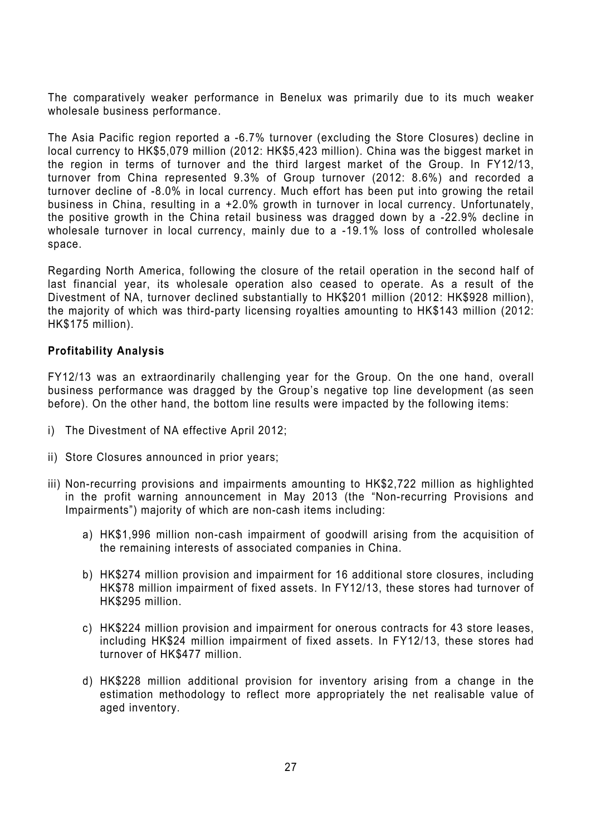The comparatively weaker performance in Benelux was primarily due to its much weaker wholesale business performance.

The Asia Pacific region reported a -6.7% turnover (excluding the Store Closures) decline in local currency to HK\$5,079 million (2012: HK\$5,423 million). China was the biggest market in the region in terms of turnover and the third largest market of the Group. In FY12/13, turnover from China represented 9.3% of Group turnover (2012: 8.6%) and recorded a turnover decline of -8.0% in local currency. Much effort has been put into growing the retail business in China, resulting in a +2.0% growth in turnover in local currency. Unfortunately, the positive growth in the China retail business was dragged down by a -22.9% decline in wholesale turnover in local currency, mainly due to a -19.1% loss of controlled wholesale space.

Regarding North America, following the closure of the retail operation in the second half of last financial year, its wholesale operation also ceased to operate. As a result of the Divestment of NA, turnover declined substantially to HK\$201 million (2012: HK\$928 million), the majority of which was third-party licensing royalties amounting to HK\$143 million (2012: HK\$175 million).

#### **Profitability Analysis**

FY12/13 was an extraordinarily challenging year for the Group. On the one hand, overall business performance was dragged by the Group's negative top line development (as seen before). On the other hand, the bottom line results were impacted by the following items:

- i) The Divestment of NA effective April 2012;
- ii) Store Closures announced in prior years;
- iii) Non-recurring provisions and impairments amounting to HK\$2,722 million as highlighted in the profit warning announcement in May 2013 (the "Non-recurring Provisions and Impairments") majority of which are non-cash items including:
	- a) HK\$1,996 million non-cash impairment of goodwill arising from the acquisition of the remaining interests of associated companies in China.
	- b) HK\$274 million provision and impairment for 16 additional store closures, including HK\$78 million impairment of fixed assets. In FY12/13, these stores had turnover of HK\$295 million.
	- c) HK\$224 million provision and impairment for onerous contracts for 43 store leases, including HK\$24 million impairment of fixed assets. In FY12/13, these stores had turnover of HK\$477 million.
	- d) HK\$228 million additional provision for inventory arising from a change in the estimation methodology to reflect more appropriately the net realisable value of aged inventory.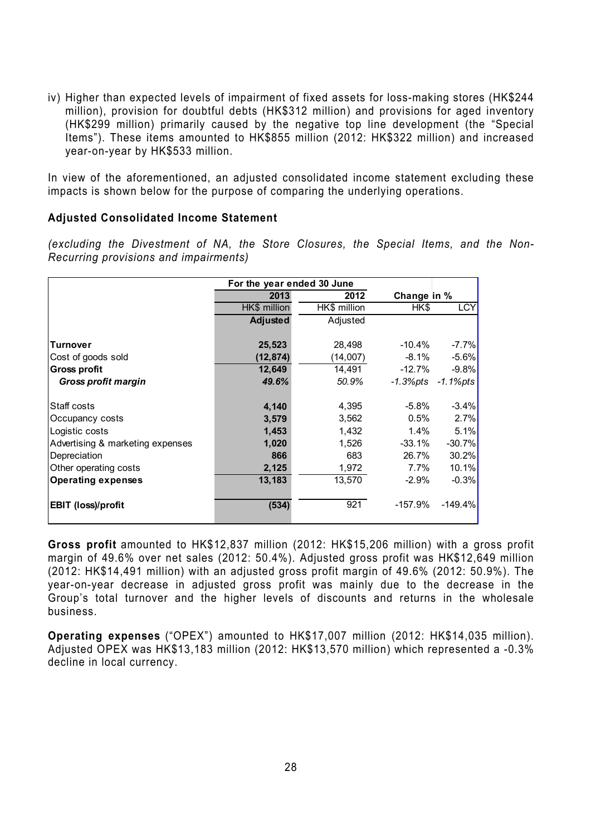iv) Higher than expected levels of impairment of fixed assets for loss-making stores (HK\$244 million), provision for doubtful debts (HK\$312 million) and provisions for aged inventory (HK\$299 million) primarily caused by the negative top line development (the "Special Items"). These items amounted to HK\$855 million (2012: HK\$322 million) and increased year-on-year by HK\$533 million.

In view of the aforementioned, an adjusted consolidated income statement excluding these impacts is shown below for the purpose of comparing the underlying operations.

#### **Adjusted Consolidated Income Statement**

*(excluding the Divestment of NA, the Store Closures, the Special Items, and the Non-Recurring provisions and impairments)* 

|                                  | For the year ended 30 June |              |             |                       |
|----------------------------------|----------------------------|--------------|-------------|-----------------------|
|                                  | 2013                       | 2012         | Change in % |                       |
|                                  | HK\$ million               | HK\$ million | HK\$        | <b>LCY</b>            |
|                                  | Adjusted                   | Adjusted     |             |                       |
| Turnover                         | 25,523                     | 28,498       | -10.4%      | $-7.7\%$              |
| Cost of goods sold               | (12,874)                   | (14,007)     | $-8.1\%$    | $-5.6%$               |
| <b>Gross profit</b>              | 12,649                     | 14,491       | $-12.7%$    | $-9.8%$               |
| <b>Gross profit margin</b>       | 49.6%                      | 50.9%        |             | $-1.3\%pts -1.1\%pts$ |
| Staff costs                      | 4,140                      | 4,395        | $-5.8\%$    | $-3.4%$               |
| Occupancy costs                  | 3,579                      | 3,562        | 0.5%        | 2.7%                  |
| Logistic costs                   | 1,453                      | 1,432        | 1.4%        | 5.1%                  |
| Advertising & marketing expenses | 1,020                      | 1,526        | $-33.1\%$   | $-30.7%$              |
| Depreciation                     | 866                        | 683          | 26.7%       | 30.2%                 |
| Other operating costs            | 2,125                      | 1,972        | $7.7\%$     | $10.1\%$              |
| <b>Operating expenses</b>        | 13,183                     | 13,570       | $-2.9%$     | $-0.3%$               |
| <b>EBIT (loss)/profit</b>        | (534)                      | 921          | $-157.9%$   | $-149.4%$             |

**Gross profit** amounted to HK\$12,837 million (2012: HK\$15,206 million) with a gross profit margin of 49.6% over net sales (2012: 50.4%). Adjusted gross profit was HK\$12,649 million (2012: HK\$14,491 million) with an adjusted gross profit margin of 49.6% (2012: 50.9%). The year-on-year decrease in adjusted gross profit was mainly due to the decrease in the Group's total turnover and the higher levels of discounts and returns in the wholesale business.

**Operating expenses** ("OPEX") amounted to HK\$17,007 million (2012: HK\$14,035 million). Adjusted OPEX was HK\$13,183 million (2012: HK\$13,570 million) which represented a -0.3% decline in local currency.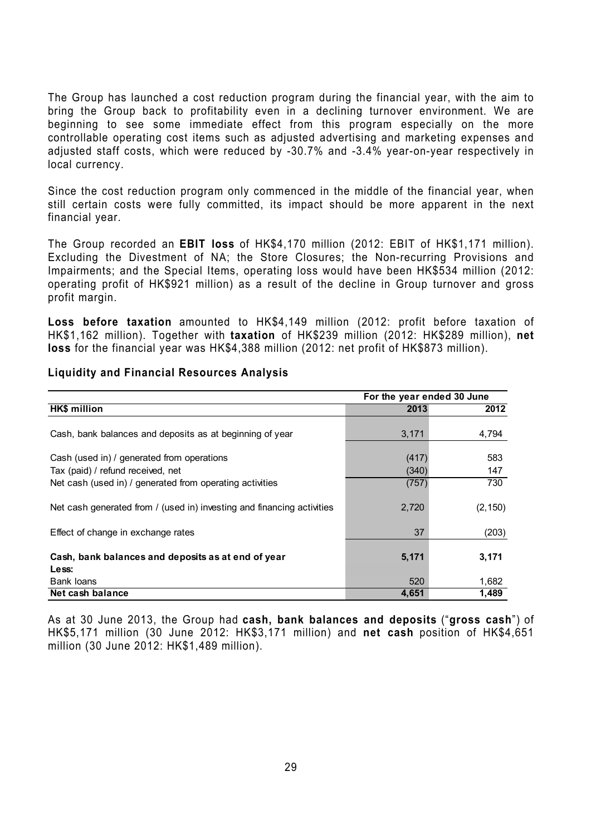The Group has launched a cost reduction program during the financial year, with the aim to bring the Group back to profitability even in a declining turnover environment. We are beginning to see some immediate effect from this program especially on the more controllable operating cost items such as adjusted advertising and marketing expenses and adjusted staff costs, which were reduced by -30.7% and -3.4% year-on-year respectively in local currency.

Since the cost reduction program only commenced in the middle of the financial year, when still certain costs were fully committed, its impact should be more apparent in the next financial year.

The Group recorded an **EBIT loss** of HK\$4,170 million (2012: EBIT of HK\$1,171 million). Excluding the Divestment of NA; the Store Closures; the Non-recurring Provisions and Impairments; and the Special Items, operating loss would have been HK\$534 million (2012: operating profit of HK\$921 million) as a result of the decline in Group turnover and gross profit margin.

**Loss before taxation** amounted to HK\$4,149 million (2012: profit before taxation of HK\$1,162 million). Together with **taxation** of HK\$239 million (2012: HK\$289 million), **net loss** for the financial year was HK\$4,388 million (2012: net profit of HK\$873 million).

|                                                                        | For the year ended 30 June |          |
|------------------------------------------------------------------------|----------------------------|----------|
| HK\$ million                                                           | 2013                       | 2012     |
|                                                                        |                            |          |
| Cash, bank balances and deposits as at beginning of year               | 3,171                      | 4,794    |
|                                                                        |                            |          |
| Cash (used in) / generated from operations                             | (417)                      | 583      |
| Tax (paid) / refund received, net                                      | (340)                      | 147      |
| Net cash (used in) / generated from operating activities               | (757)                      | 730      |
| Net cash generated from / (used in) investing and financing activities | 2,720                      | (2, 150) |
| Effect of change in exchange rates                                     | 37                         | (203)    |
|                                                                        |                            |          |
| Cash, bank balances and deposits as at end of year                     | 5,171                      | 3,171    |
| Less:                                                                  |                            |          |
| Bank loans                                                             | 520                        | 1,682    |
| Net cash balance                                                       | 4,651                      | 1,489    |

#### **Liquidity and Financial Resources Analysis**

As at 30 June 2013, the Group had **cash, bank balances and deposits** ("**gross cash**") of HK\$5,171 million (30 June 2012: HK\$3,171 million) and **net cash** position of HK\$4,651 million (30 June 2012: HK\$1,489 million).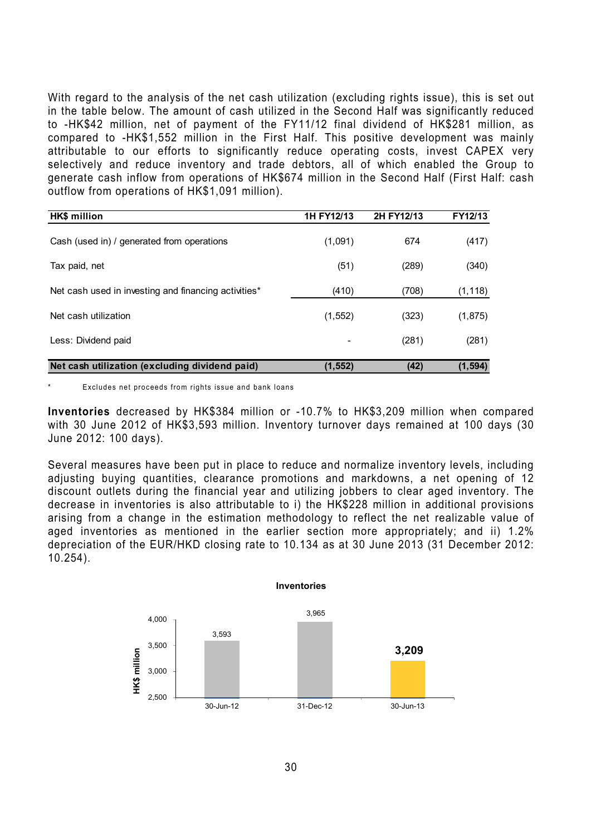With regard to the analysis of the net cash utilization (excluding rights issue), this is set out in the table below. The amount of cash utilized in the Second Half was significantly reduced to -HK\$42 million, net of payment of the FY11/12 final dividend of HK\$281 million, as compared to -HK\$1,552 million in the First Half. This positive development was mainly attributable to our efforts to significantly reduce operating costs, invest CAPEX very selectively and reduce inventory and trade debtors, all of which enabled the Group to generate cash inflow from operations of HK\$674 million in the Second Half (First Half: cash outflow from operations of HK\$1,091 million).

| <b>HK\$</b> million                                  | 1H FY12/13 | 2H FY12/13 | FY12/13  |
|------------------------------------------------------|------------|------------|----------|
| Cash (used in) / generated from operations           | (1,091)    | 674        | (417)    |
| Tax paid, net                                        | (51)       | (289)      | (340)    |
| Net cash used in investing and financing activities* | (410)      | (708)      | (1, 118) |
| Net cash utilization                                 | (1, 552)   | (323)      | (1,875)  |
| Less: Dividend paid                                  |            | (281)      | (281)    |
| Net cash utilization (excluding dividend paid)       | (1, 552)   | (42)       | (1, 594) |

Excludes net proceeds from rights issue and bank loans

**Inventories** decreased by HK\$384 million or -10.7% to HK\$3,209 million when compared with 30 June 2012 of HK\$3,593 million. Inventory turnover days remained at 100 days (30 June 2012: 100 days).

Several measures have been put in place to reduce and normalize inventory levels, including adjusting buying quantities, clearance promotions and markdowns, a net opening of 12 discount outlets during the financial year and utilizing jobbers to clear aged inventory. The decrease in inventories is also attributable to i) the HK\$228 million in additional provisions arising from a change in the estimation methodology to reflect the net realizable value of aged inventories as mentioned in the earlier section more appropriately; and ii) 1.2% depreciation of the EUR/HKD closing rate to 10.134 as at 30 June 2013 (31 December 2012: 10.254).

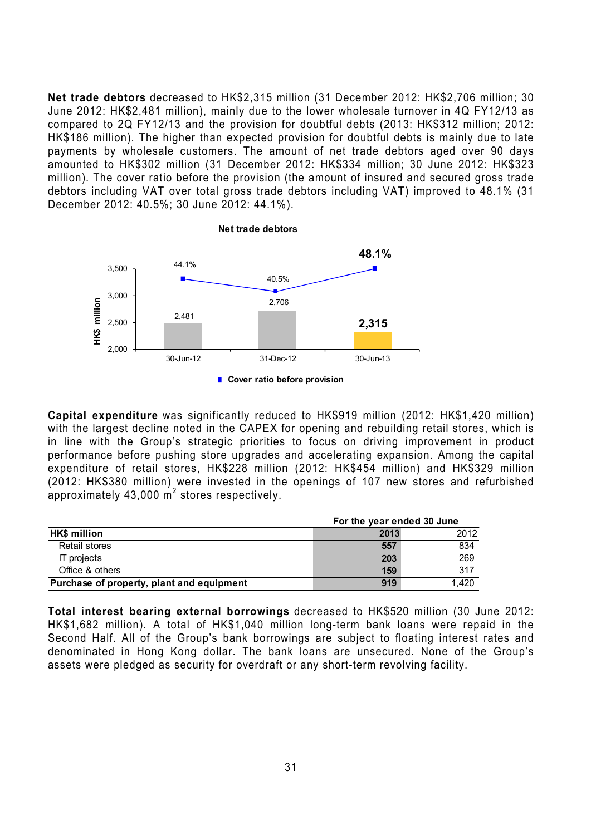**Net trade debtors** decreased to HK\$2,315 million (31 December 2012: HK\$2,706 million; 30 June 2012: HK\$2,481 million), mainly due to the lower wholesale turnover in 4Q FY12/13 as compared to 2Q FY12/13 and the provision for doubtful debts (2013: HK\$312 million; 2012: HK\$186 million). The higher than expected provision for doubtful debts is mainly due to late payments by wholesale customers. The amount of net trade debtors aged over 90 days amounted to HK\$302 million (31 December 2012: HK\$334 million; 30 June 2012: HK\$323 million). The cover ratio before the provision (the amount of insured and secured gross trade debtors including VAT over total gross trade debtors including VAT) improved to 48.1% (31 December 2012: 40.5%; 30 June 2012: 44.1%).



**Capital expenditure** was significantly reduced to HK\$919 million (2012: HK\$1,420 million) with the largest decline noted in the CAPEX for opening and rebuilding retail stores, which is in line with the Group's strategic priorities to focus on driving improvement in product performance before pushing store upgrades and accelerating expansion. Among the capital expenditure of retail stores, HK\$228 million (2012: HK\$454 million) and HK\$329 million (2012: HK\$380 million) were invested in the openings of 107 new stores and refurbished approximately 43,000  $\text{m}^2$  stores respectively.

|                                           | For the year ended 30 June |       |
|-------------------------------------------|----------------------------|-------|
| <b>HK\$</b> million                       | 2013                       | 2012  |
| Retail stores                             | 557                        | 834   |
| IT projects                               | 203                        | 269   |
| Office & others                           | 159                        | 317   |
| Purchase of property, plant and equipment | 919                        | 1.420 |

**Total interest bearing external borrowings** decreased to HK\$520 million (30 June 2012: HK\$1,682 million). A total of HK\$1,040 million long-term bank loans were repaid in the Second Half. All of the Group's bank borrowings are subject to floating interest rates and denominated in Hong Kong dollar. The bank loans are unsecured. None of the Group's assets were pledged as security for overdraft or any short-term revolving facility.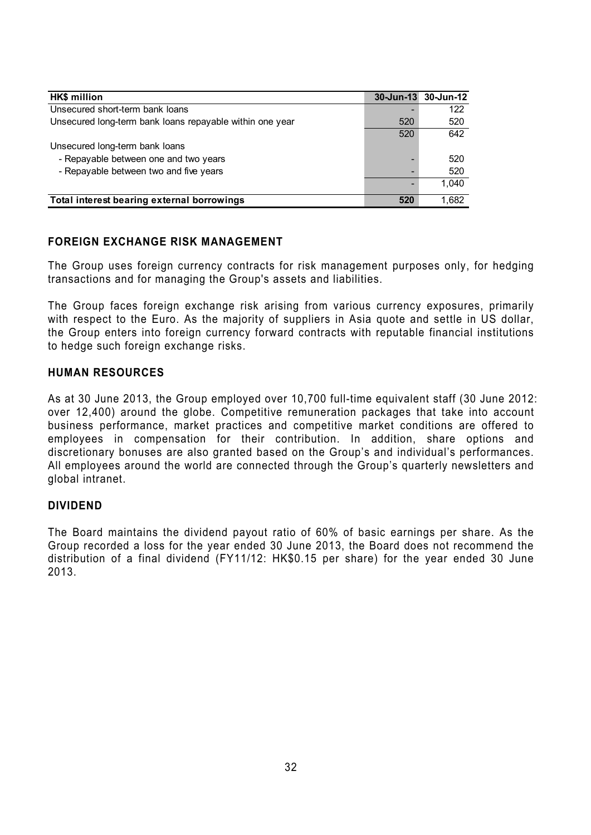| <b>HK\$</b> million                                      |     | 30-Jun-13 30-Jun-12 |
|----------------------------------------------------------|-----|---------------------|
| Unsecured short-term bank loans                          |     | 122                 |
| Unsecured long-term bank loans repayable within one year | 520 | 520                 |
|                                                          | 520 | 642                 |
| Unsecured long-term bank loans                           |     |                     |
| - Repayable between one and two years                    |     | 520                 |
| - Repayable between two and five years                   |     | 520                 |
|                                                          |     | 1.040               |
| Total interest bearing external borrowings               | 520 | 1.682               |

#### **FOREIGN EXCHANGE RISK MANAGEMENT**

The Group uses foreign currency contracts for risk management purposes only, for hedging transactions and for managing the Group's assets and liabilities.

The Group faces foreign exchange risk arising from various currency exposures, primarily with respect to the Euro. As the majority of suppliers in Asia quote and settle in US dollar, the Group enters into foreign currency forward contracts with reputable financial institutions to hedge such foreign exchange risks.

#### **HUMAN RESOURCES**

As at 30 June 2013, the Group employed over 10,700 full-time equivalent staff (30 June 2012: over 12,400) around the globe. Competitive remuneration packages that take into account business performance, market practices and competitive market conditions are offered to employees in compensation for their contribution. In addition, share options and discretionary bonuses are also granted based on the Group's and individual's performances. All employees around the world are connected through the Group's quarterly newsletters and global intranet.

#### **DIVIDEND**

The Board maintains the dividend payout ratio of 60% of basic earnings per share. As the Group recorded a loss for the year ended 30 June 2013, the Board does not recommend the distribution of a final dividend (FY11/12: HK\$0.15 per share) for the year ended 30 June 2013.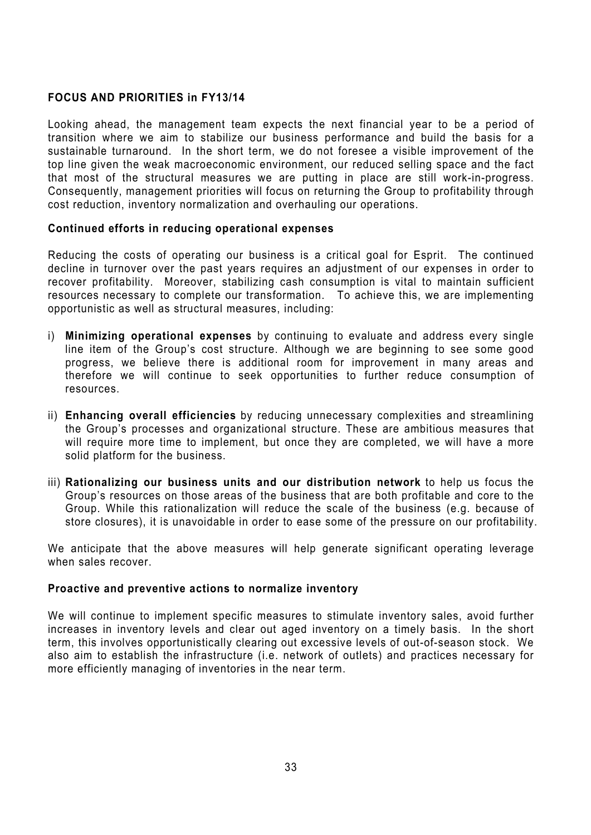#### **FOCUS AND PRIORITIES in FY13/14**

Looking ahead, the management team expects the next financial year to be a period of transition where we aim to stabilize our business performance and build the basis for a sustainable turnaround. In the short term, we do not foresee a visible improvement of the top line given the weak macroeconomic environment, our reduced selling space and the fact that most of the structural measures we are putting in place are still work-in-progress. Consequently, management priorities will focus on returning the Group to profitability through cost reduction, inventory normalization and overhauling our operations.

#### **Continued efforts in reducing operational expenses**

Reducing the costs of operating our business is a critical goal for Esprit. The continued decline in turnover over the past years requires an adjustment of our expenses in order to recover profitability. Moreover, stabilizing cash consumption is vital to maintain sufficient resources necessary to complete our transformation. To achieve this, we are implementing opportunistic as well as structural measures, including:

- i) **Minimizing operational expenses** by continuing to evaluate and address every single line item of the Group's cost structure. Although we are beginning to see some good progress, we believe there is additional room for improvement in many areas and therefore we will continue to seek opportunities to further reduce consumption of resources.
- ii) **Enhancing overall efficiencies** by reducing unnecessary complexities and streamlining the Group's processes and organizational structure. These are ambitious measures that will require more time to implement, but once they are completed, we will have a more solid platform for the business.
- iii) **Rationalizing our business units and our distribution network** to help us focus the Group's resources on those areas of the business that are both profitable and core to the Group. While this rationalization will reduce the scale of the business (e.g. because of store closures), it is unavoidable in order to ease some of the pressure on our profitability.

We anticipate that the above measures will help generate significant operating leverage when sales recover.

#### **Proactive and preventive actions to normalize inventory**

We will continue to implement specific measures to stimulate inventory sales, avoid further increases in inventory levels and clear out aged inventory on a timely basis. In the short term, this involves opportunistically clearing out excessive levels of out-of-season stock. We also aim to establish the infrastructure (i.e. network of outlets) and practices necessary for more efficiently managing of inventories in the near term.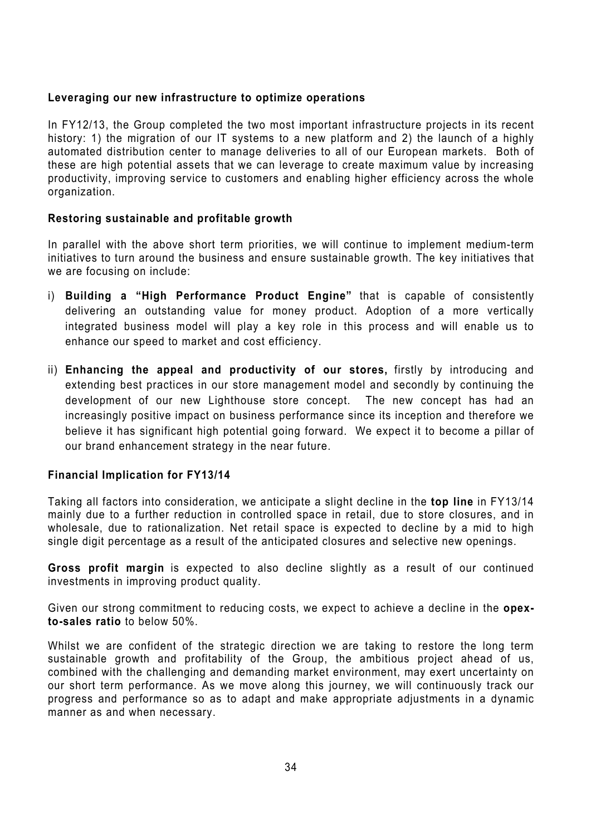#### **Leveraging our new infrastructure to optimize operations**

In FY12/13, the Group completed the two most important infrastructure projects in its recent history: 1) the migration of our IT systems to a new platform and 2) the launch of a highly automated distribution center to manage deliveries to all of our European markets. Both of these are high potential assets that we can leverage to create maximum value by increasing productivity, improving service to customers and enabling higher efficiency across the whole organization.

#### **Restoring sustainable and profitable growth**

In parallel with the above short term priorities, we will continue to implement medium-term initiatives to turn around the business and ensure sustainable growth. The key initiatives that we are focusing on include:

- i) **Building a "High Performance Product Engine"** that is capable of consistently delivering an outstanding value for money product. Adoption of a more vertically integrated business model will play a key role in this process and will enable us to enhance our speed to market and cost efficiency.
- ii) **Enhancing the appeal and productivity of our stores,** firstly by introducing and extending best practices in our store management model and secondly by continuing the development of our new Lighthouse store concept. The new concept has had an increasingly positive impact on business performance since its inception and therefore we believe it has significant high potential going forward. We expect it to become a pillar of our brand enhancement strategy in the near future.

#### **Financial Implication for FY13/14**

Taking all factors into consideration, we anticipate a slight decline in the **top line** in FY13/14 mainly due to a further reduction in controlled space in retail, due to store closures, and in wholesale, due to rationalization. Net retail space is expected to decline by a mid to high single digit percentage as a result of the anticipated closures and selective new openings.

**Gross profit margin** is expected to also decline slightly as a result of our continued investments in improving product quality.

Given our strong commitment to reducing costs, we expect to achieve a decline in the **opexto-sales ratio** to below 50%.

Whilst we are confident of the strategic direction we are taking to restore the long term sustainable growth and profitability of the Group, the ambitious project ahead of us, combined with the challenging and demanding market environment, may exert uncertainty on our short term performance. As we move along this journey, we will continuously track our progress and performance so as to adapt and make appropriate adjustments in a dynamic manner as and when necessary.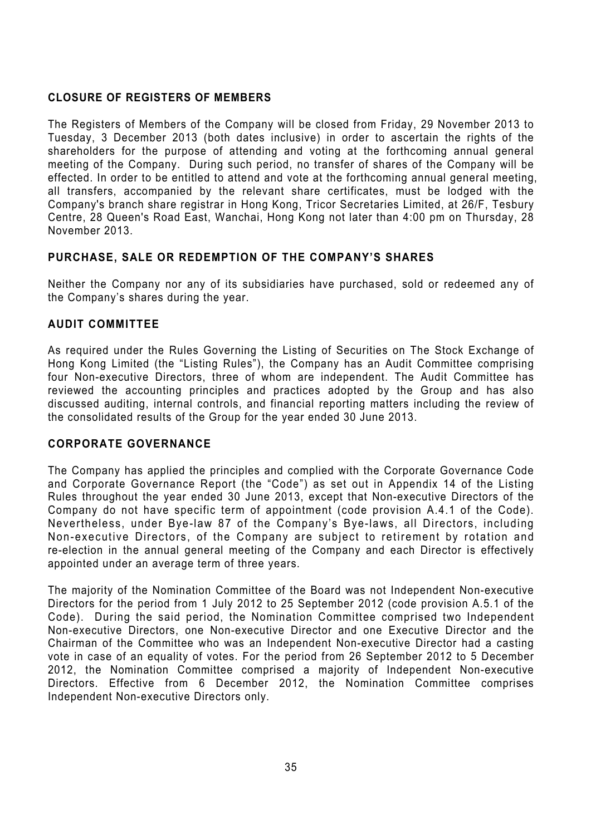## **CLOSURE OF REGISTERS OF MEMBERS**

The Registers of Members of the Company will be closed from Friday, 29 November 2013 to Tuesday, 3 December 2013 (both dates inclusive) in order to ascertain the rights of the shareholders for the purpose of attending and voting at the forthcoming annual general meeting of the Company. During such period, no transfer of shares of the Company will be effected. In order to be entitled to attend and vote at the forthcoming annual general meeting, all transfers, accompanied by the relevant share certificates, must be lodged with the Company's branch share registrar in Hong Kong, Tricor Secretaries Limited, at 26/F, Tesbury Centre, 28 Queen's Road East, Wanchai, Hong Kong not later than 4:00 pm on Thursday, 28 November 2013.

#### **PURCHASE, SALE OR REDEMPTION OF THE COMPANY'S SHARES**

Neither the Company nor any of its subsidiaries have purchased, sold or redeemed any of the Company's shares during the year.

#### **AUDIT COMMITTEE**

As required under the Rules Governing the Listing of Securities on The Stock Exchange of Hong Kong Limited (the "Listing Rules"), the Company has an Audit Committee comprising four Non-executive Directors, three of whom are independent. The Audit Committee has reviewed the accounting principles and practices adopted by the Group and has also discussed auditing, internal controls, and financial reporting matters including the review of the consolidated results of the Group for the year ended 30 June 2013.

#### **CORPORATE GOVERNANCE**

The Company has applied the principles and complied with the Corporate Governance Code and Corporate Governance Report (the "Code") as set out in Appendix 14 of the Listing Rules throughout the year ended 30 June 2013, except that Non-executive Directors of the Company do not have specific term of appointment (code provision A.4.1 of the Code). Nevertheless, under Bye-law 87 of the Company's Bye-laws, all Directors, including Non-executive Directors, of the Company are subject to retirement by rotation and re-election in the annual general meeting of the Company and each Director is effectively appointed under an average term of three years.

The majority of the Nomination Committee of the Board was not Independent Non-executive Directors for the period from 1 July 2012 to 25 September 2012 (code provision A.5.1 of the Code). During the said period, the Nomination Committee comprised two Independent Non-executive Directors, one Non-executive Director and one Executive Director and the Chairman of the Committee who was an Independent Non-executive Director had a casting vote in case of an equality of votes. For the period from 26 September 2012 to 5 December 2012, the Nomination Committee comprised a majority of Independent Non-executive Directors. Effective from 6 December 2012, the Nomination Committee comprises Independent Non-executive Directors only.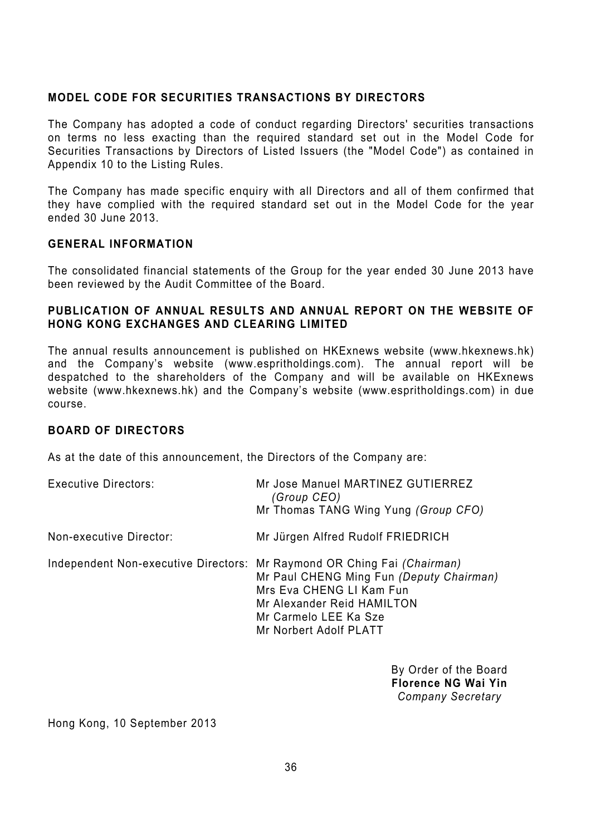#### **MODEL CODE FOR SECURITIES TRANSACTIONS BY DIRECTORS**

The Company has adopted a code of conduct regarding Directors' securities transactions on terms no less exacting than the required standard set out in the Model Code for Securities Transactions by Directors of Listed Issuers (the "Model Code") as contained in Appendix 10 to the Listing Rules.

The Company has made specific enquiry with all Directors and all of them confirmed that they have complied with the required standard set out in the Model Code for the year ended 30 June 2013.

#### **GENERAL INFORMATION**

The consolidated financial statements of the Group for the year ended 30 June 2013 have been reviewed by the Audit Committee of the Board.

#### **PUBLICATION OF ANNUAL RESULTS AND ANNUAL REPORT ON THE WEBSITE OF HONG KONG EXCHANGES AND CLEARING LIMITED**

The annual results announcement is published on HKExnews website (www.hkexnews.hk) and the Company's website (www.espritholdings.com). The annual report will be despatched to the shareholders of the Company and will be available on HKExnews website (www.hkexnews.hk) and the Company's website (www.espritholdings.com) in due course.

#### **BOARD OF DIRECTORS**

As at the date of this announcement, the Directors of the Company are:

| <b>Executive Directors:</b> | Mr Jose Manuel MARTINEZ GUTIERREZ<br>(Group CEO)<br>Mr Thomas TANG Wing Yung (Group CFO)                                                                                                                                         |
|-----------------------------|----------------------------------------------------------------------------------------------------------------------------------------------------------------------------------------------------------------------------------|
| Non-executive Director:     | Mr Jürgen Alfred Rudolf FRIEDRICH                                                                                                                                                                                                |
|                             | Independent Non-executive Directors: Mr Raymond OR Ching Fai (Chairman)<br>Mr Paul CHENG Ming Fun (Deputy Chairman)<br>Mrs Eva CHENG LI Kam Fun<br>Mr Alexander Reid HAMILTON<br>Mr Carmelo LEE Ka Sze<br>Mr Norbert Adolf PLATT |
|                             | $Div$ $Ordar$ $of$ $theo$ $Donto$                                                                                                                                                                                                |

By Order of the Board **Florence NG Wai Yin**  *Company Secretary* 

Hong Kong, 10 September 2013